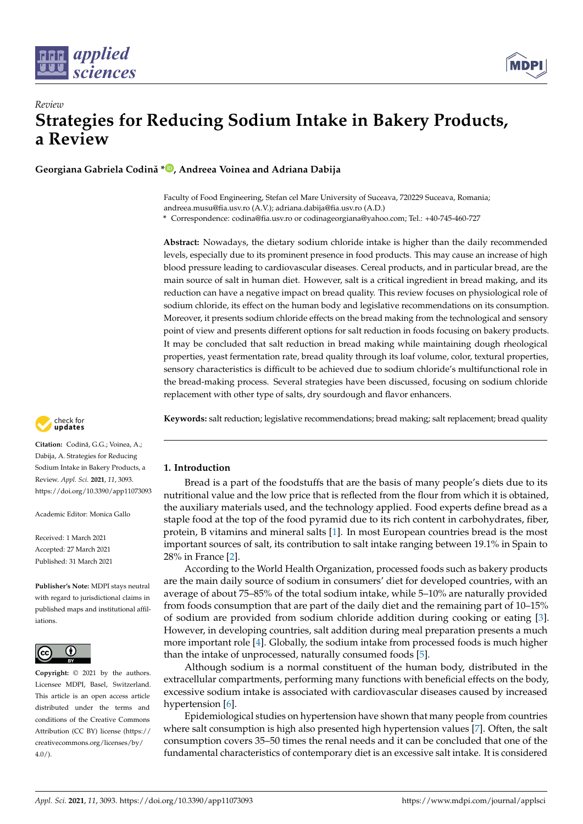



**Georgiana Gabriela Codină \* [,](https://orcid.org/0000-0002-6575-0078) Andreea Voinea and Adriana Dabija**

Faculty of Food Engineering, Stefan cel Mare University of Suceava, 720229 Suceava, Romania; andreea.musu@fia.usv.ro (A.V.); adriana.dabija@fia.usv.ro (A.D.)

**\*** Correspondence: codina@fia.usv.ro or codinageorgiana@yahoo.com; Tel.: +40-745-460-727

**Abstract:** Nowadays, the dietary sodium chloride intake is higher than the daily recommended levels, especially due to its prominent presence in food products. This may cause an increase of high blood pressure leading to cardiovascular diseases. Cereal products, and in particular bread, are the main source of salt in human diet. However, salt is a critical ingredient in bread making, and its reduction can have a negative impact on bread quality. This review focuses on physiological role of sodium chloride, its effect on the human body and legislative recommendations on its consumption. Moreover, it presents sodium chloride effects on the bread making from the technological and sensory point of view and presents different options for salt reduction in foods focusing on bakery products. It may be concluded that salt reduction in bread making while maintaining dough rheological properties, yeast fermentation rate, bread quality through its loaf volume, color, textural properties, sensory characteristics is difficult to be achieved due to sodium chloride's multifunctional role in the bread-making process. Several strategies have been discussed, focusing on sodium chloride replacement with other type of salts, dry sourdough and flavor enhancers.

check for **-**

Citation: Codină, G.G.; Voinea, A.; Dabija, A. Strategies for Reducing Sodium Intake in Bakery Products, a Review. *Appl. Sci.* **2021**, *11*, 3093. <https://doi.org/10.3390/app11073093>

Academic Editor: Monica Gallo

Received: 1 March 2021 Accepted: 27 March 2021 Published: 31 March 2021

**Publisher's Note:** MDPI stays neutral with regard to jurisdictional claims in published maps and institutional affiliations.



**Copyright:** © 2021 by the authors. Licensee MDPI, Basel, Switzerland. This article is an open access article distributed under the terms and conditions of the Creative Commons Attribution (CC BY) license (https:/[/](https://creativecommons.org/licenses/by/4.0/) [creativecommons.org/licenses/by/](https://creativecommons.org/licenses/by/4.0/)  $4.0/$ ).

**Keywords:** salt reduction; legislative recommendations; bread making; salt replacement; bread quality

# **1. Introduction**

Bread is a part of the foodstuffs that are the basis of many people's diets due to its nutritional value and the low price that is reflected from the flour from which it is obtained, the auxiliary materials used, and the technology applied. Food experts define bread as a staple food at the top of the food pyramid due to its rich content in carbohydrates, fiber, protein, B vitamins and mineral salts [\[1\]](#page-20-0). In most European countries bread is the most important sources of salt, its contribution to salt intake ranging between 19.1% in Spain to 28% in France [\[2\]](#page-20-1).

According to the World Health Organization, processed foods such as bakery products are the main daily source of sodium in consumers' diet for developed countries, with an average of about 75–85% of the total sodium intake, while 5–10% are naturally provided from foods consumption that are part of the daily diet and the remaining part of 10–15% of sodium are provided from sodium chloride addition during cooking or eating [\[3\]](#page-20-2). However, in developing countries, salt addition during meal preparation presents a much more important role [\[4\]](#page-20-3). Globally, the sodium intake from processed foods is much higher than the intake of unprocessed, naturally consumed foods [\[5\]](#page-20-4).

Although sodium is a normal constituent of the human body, distributed in the extracellular compartments, performing many functions with beneficial effects on the body, excessive sodium intake is associated with cardiovascular diseases caused by increased hypertension [\[6\]](#page-20-5).

Epidemiological studies on hypertension have shown that many people from countries where salt consumption is high also presented high hypertension values [\[7\]](#page-20-6). Often, the salt consumption covers 35–50 times the renal needs and it can be concluded that one of the fundamental characteristics of contemporary diet is an excessive salt intake. It is considered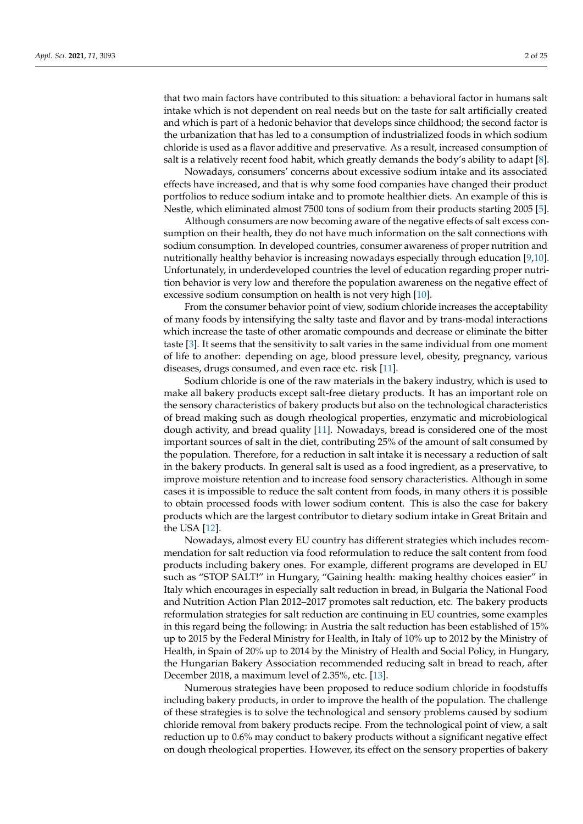that two main factors have contributed to this situation: a behavioral factor in humans salt intake which is not dependent on real needs but on the taste for salt artificially created and which is part of a hedonic behavior that develops since childhood; the second factor is the urbanization that has led to a consumption of industrialized foods in which sodium chloride is used as a flavor additive and preservative. As a result, increased consumption of salt is a relatively recent food habit, which greatly demands the body's ability to adapt [\[8\]](#page-20-7).

Nowadays, consumers' concerns about excessive sodium intake and its associated effects have increased, and that is why some food companies have changed their product portfolios to reduce sodium intake and to promote healthier diets. An example of this is Nestle, which eliminated almost 7500 tons of sodium from their products starting 2005 [\[5\]](#page-20-4).

Although consumers are now becoming aware of the negative effects of salt excess consumption on their health, they do not have much information on the salt connections with sodium consumption. In developed countries, consumer awareness of proper nutrition and nutritionally healthy behavior is increasing nowadays especially through education [\[9](#page-20-8)[,10\]](#page-20-9). Unfortunately, in underdeveloped countries the level of education regarding proper nutrition behavior is very low and therefore the population awareness on the negative effect of excessive sodium consumption on health is not very high [\[10\]](#page-20-9).

From the consumer behavior point of view, sodium chloride increases the acceptability of many foods by intensifying the salty taste and flavor and by trans-modal interactions which increase the taste of other aromatic compounds and decrease or eliminate the bitter taste [\[3\]](#page-20-2). It seems that the sensitivity to salt varies in the same individual from one moment of life to another: depending on age, blood pressure level, obesity, pregnancy, various diseases, drugs consumed, and even race etc. risk [\[11\]](#page-20-10).

Sodium chloride is one of the raw materials in the bakery industry, which is used to make all bakery products except salt-free dietary products. It has an important role on the sensory characteristics of bakery products but also on the technological characteristics of bread making such as dough rheological properties, enzymatic and microbiological dough activity, and bread quality [\[11\]](#page-20-10). Nowadays, bread is considered one of the most important sources of salt in the diet, contributing 25% of the amount of salt consumed by the population. Therefore, for a reduction in salt intake it is necessary a reduction of salt in the bakery products. In general salt is used as a food ingredient, as a preservative, to improve moisture retention and to increase food sensory characteristics. Although in some cases it is impossible to reduce the salt content from foods, in many others it is possible to obtain processed foods with lower sodium content. This is also the case for bakery products which are the largest contributor to dietary sodium intake in Great Britain and the USA [\[12\]](#page-21-0).

Nowadays, almost every EU country has different strategies which includes recommendation for salt reduction via food reformulation to reduce the salt content from food products including bakery ones. For example, different programs are developed in EU such as "STOP SALT!" in Hungary, "Gaining health: making healthy choices easier" in Italy which encourages in especially salt reduction in bread, in Bulgaria the National Food and Nutrition Action Plan 2012–2017 promotes salt reduction, etc. The bakery products reformulation strategies for salt reduction are continuing in EU countries, some examples in this regard being the following: in Austria the salt reduction has been established of 15% up to 2015 by the Federal Ministry for Health, in Italy of 10% up to 2012 by the Ministry of Health, in Spain of 20% up to 2014 by the Ministry of Health and Social Policy, in Hungary, the Hungarian Bakery Association recommended reducing salt in bread to reach, after December 2018, a maximum level of 2.35%, etc. [\[13\]](#page-21-1).

Numerous strategies have been proposed to reduce sodium chloride in foodstuffs including bakery products, in order to improve the health of the population. The challenge of these strategies is to solve the technological and sensory problems caused by sodium chloride removal from bakery products recipe. From the technological point of view, a salt reduction up to 0.6% may conduct to bakery products without a significant negative effect on dough rheological properties. However, its effect on the sensory properties of bakery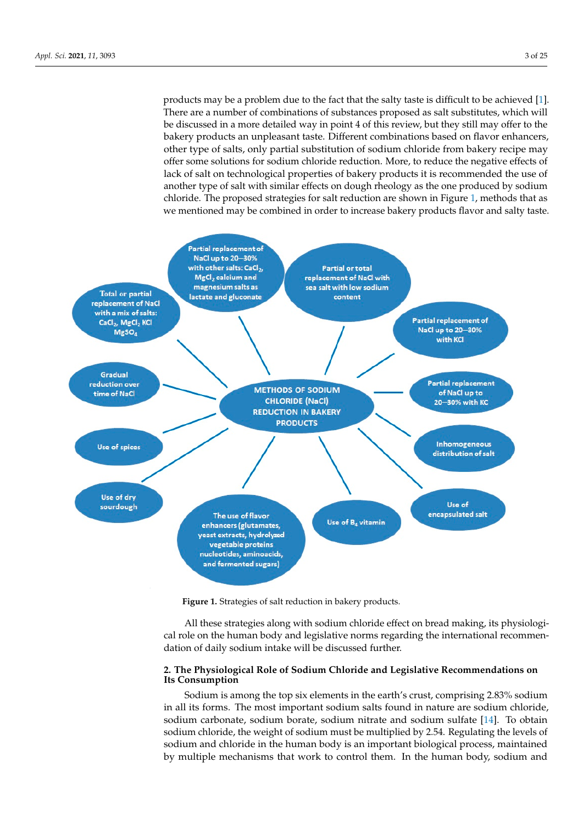products may be a problem due to the fact that the salty taste is difficult to be achieved [\[1\]](#page-20-0). There are a number of combinations of substances proposed as salt substitutes, which will be discussed in a more detailed way in point 4 of this review, but they still may offer to the bakery products an unpleasant taste. Different combinations based on flavor enhancers, other type of salts, only partial substitution of sodium chloride from bakery recipe may offer some solutions for sodium chloride reduction. More, to reduce the negative effects of lack of salt on technological properties of bakery products it is recommended the use of another type of salt with similar effects on dough rheology as the one produced by sodium chloride. The proposed strategies for salt reduction are shown in Figure [1,](#page-2-0) methods that as we mentioned may be combined in order to increase bakery products flavor and salty taste.

<span id="page-2-0"></span>

**Figure 1.** Strategies of salt reduction in bakery products. **Figure 1.** Strategies of salt reduction in bakery products.

All these strategies along with sodium chloride effect on bread making, its physiological role on the human body and legislative norms regarding the international recommendation of daily sodium intake will be discussed further.

## **2. The Physiological Role of Sodium Chloride and Legislative Recommendations on Its Consumption**

Sodium is among the top six elements in the earth's crust, comprising 2.83% sodium in all its forms. The most important sodium salts found in nature are sodium chloride, sodium carbonate, sodium borate, sodium nitrate and sodium sulfate [\[14\]](#page-21-2). To obtain sodium chloride, the weight of sodium must be multiplied by 2.54. Regulating the levels of sodium and chloride in the human body is an important biological process, maintained by multiple mechanisms that work to control them. In the human body, sodium and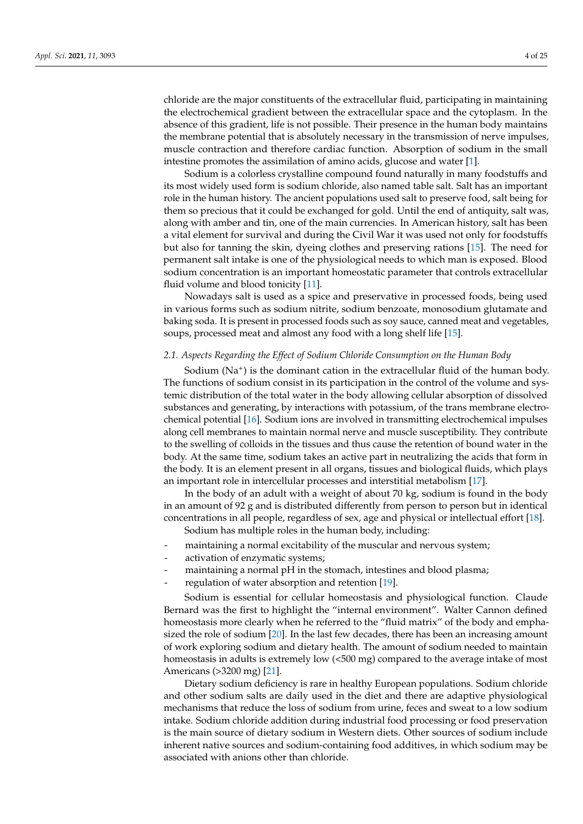chloride are the major constituents of the extracellular fluid, participating in maintaining the electrochemical gradient between the extracellular space and the cytoplasm. In the absence of this gradient, life is not possible. Their presence in the human body maintains the membrane potential that is absolutely necessary in the transmission of nerve impulses, muscle contraction and therefore cardiac function. Absorption of sodium in the small intestine promotes the assimilation of amino acids, glucose and water [\[1\]](#page-20-0).

Sodium is a colorless crystalline compound found naturally in many foodstuffs and its most widely used form is sodium chloride, also named table salt. Salt has an important role in the human history. The ancient populations used salt to preserve food, salt being for them so precious that it could be exchanged for gold. Until the end of antiquity, salt was, along with amber and tin, one of the main currencies. In American history, salt has been a vital element for survival and during the Civil War it was used not only for foodstuffs but also for tanning the skin, dyeing clothes and preserving rations [\[15\]](#page-21-3). The need for permanent salt intake is one of the physiological needs to which man is exposed. Blood sodium concentration is an important homeostatic parameter that controls extracellular fluid volume and blood tonicity [\[11\]](#page-20-10).

Nowadays salt is used as a spice and preservative in processed foods, being used in various forms such as sodium nitrite, sodium benzoate, monosodium glutamate and baking soda. It is present in processed foods such as soy sauce, canned meat and vegetables, soups, processed meat and almost any food with a long shelf life [\[15\]](#page-21-3).

#### *2.1. Aspects Regarding the Effect of Sodium Chloride Consumption on the Human Body*

Sodium (Na<sup>+</sup>) is the dominant cation in the extracellular fluid of the human body. The functions of sodium consist in its participation in the control of the volume and systemic distribution of the total water in the body allowing cellular absorption of dissolved substances and generating, by interactions with potassium, of the trans membrane electrochemical potential [\[16\]](#page-21-4). Sodium ions are involved in transmitting electrochemical impulses along cell membranes to maintain normal nerve and muscle susceptibility. They contribute to the swelling of colloids in the tissues and thus cause the retention of bound water in the body. At the same time, sodium takes an active part in neutralizing the acids that form in the body. It is an element present in all organs, tissues and biological fluids, which plays an important role in intercellular processes and interstitial metabolism [\[17\]](#page-21-5).

In the body of an adult with a weight of about 70 kg, sodium is found in the body in an amount of 92 g and is distributed differently from person to person but in identical concentrations in all people, regardless of sex, age and physical or intellectual effort [\[18\]](#page-21-6). Sodium has multiple roles in the human body, including:

- maintaining a normal excitability of the muscular and nervous system;
- activation of enzymatic systems;
- maintaining a normal pH in the stomach, intestines and blood plasma;
- regulation of water absorption and retention [\[19\]](#page-21-7).

Sodium is essential for cellular homeostasis and physiological function. Claude Bernard was the first to highlight the "internal environment". Walter Cannon defined homeostasis more clearly when he referred to the "fluid matrix" of the body and emphasized the role of sodium [\[20\]](#page-21-8). In the last few decades, there has been an increasing amount of work exploring sodium and dietary health. The amount of sodium needed to maintain homeostasis in adults is extremely low (<500 mg) compared to the average intake of most Americans (>3200 mg) [\[21\]](#page-21-9).

Dietary sodium deficiency is rare in healthy European populations. Sodium chloride and other sodium salts are daily used in the diet and there are adaptive physiological mechanisms that reduce the loss of sodium from urine, feces and sweat to a low sodium intake. Sodium chloride addition during industrial food processing or food preservation is the main source of dietary sodium in Western diets. Other sources of sodium include inherent native sources and sodium-containing food additives, in which sodium may be associated with anions other than chloride.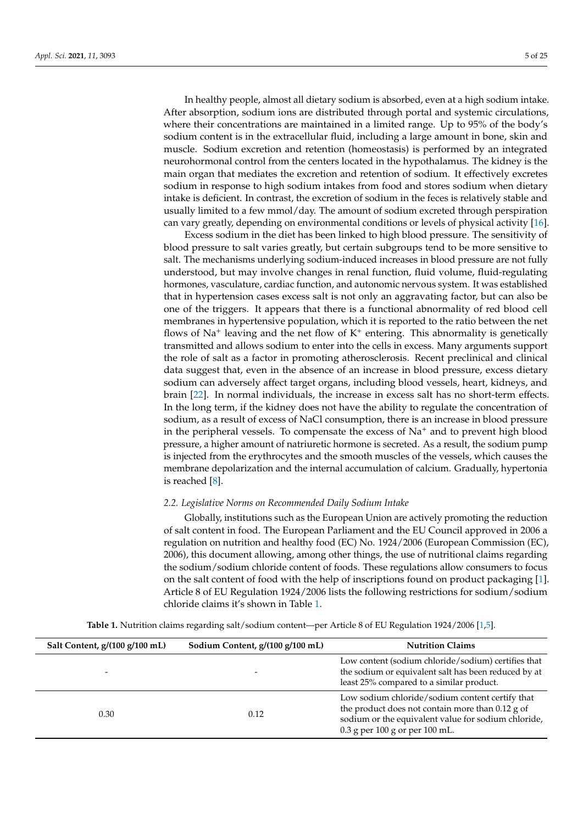After absorption, sodium ions are distributed through portal and systemic circulations, where their concentrations are maintained in a limited range. Up to 95% of the body's sodium content is in the extracellular fluid, including a large amount in bone, skin and muscle. Sodium excretion and retention (homeostasis) is performed by an integrated neurohormonal control from the centers located in the hypothalamus. The kidney is the main organ that mediates the excretion and retention of sodium. It effectively excretes sodium in response to high sodium intakes from food and stores sodium when dietary intake is deficient. In contrast, the excretion of sodium in the feces is relatively stable and usually limited to a few mmol/day. The amount of sodium excreted through perspiration can vary greatly, depending on environmental conditions or levels of physical activity [\[16\]](#page-21-4).

Excess sodium in the diet has been linked to high blood pressure. The sensitivity of blood pressure to salt varies greatly, but certain subgroups tend to be more sensitive to salt. The mechanisms underlying sodium-induced increases in blood pressure are not fully understood, but may involve changes in renal function, fluid volume, fluid-regulating hormones, vasculature, cardiac function, and autonomic nervous system. It was established that in hypertension cases excess salt is not only an aggravating factor, but can also be one of the triggers. It appears that there is a functional abnormality of red blood cell membranes in hypertensive population, which it is reported to the ratio between the net flows of  $Na<sup>+</sup>$  leaving and the net flow of  $K<sup>+</sup>$  entering. This abnormality is genetically transmitted and allows sodium to enter into the cells in excess. Many arguments support the role of salt as a factor in promoting atherosclerosis. Recent preclinical and clinical data suggest that, even in the absence of an increase in blood pressure, excess dietary sodium can adversely affect target organs, including blood vessels, heart, kidneys, and brain [\[22\]](#page-21-10). In normal individuals, the increase in excess salt has no short-term effects. In the long term, if the kidney does not have the ability to regulate the concentration of sodium, as a result of excess of NaCl consumption, there is an increase in blood pressure in the peripheral vessels. To compensate the excess of  $Na<sup>+</sup>$  and to prevent high blood pressure, a higher amount of natriuretic hormone is secreted. As a result, the sodium pump is injected from the erythrocytes and the smooth muscles of the vessels, which causes the membrane depolarization and the internal accumulation of calcium. Gradually, hypertonia is reached [\[8\]](#page-20-7).

## *2.2. Legislative Norms on Recommended Daily Sodium Intake*

Globally, institutions such as the European Union are actively promoting the reduction of salt content in food. The European Parliament and the EU Council approved in 2006 a regulation on nutrition and healthy food (EC) No. 1924/2006 (European Commission (EC), 2006), this document allowing, among other things, the use of nutritional claims regarding the sodium/sodium chloride content of foods. These regulations allow consumers to focus on the salt content of food with the help of inscriptions found on product packaging [\[1\]](#page-20-0). Article 8 of EU Regulation 1924/2006 lists the following restrictions for sodium/sodium chloride claims it's shown in Table [1.](#page-5-0)

**Table 1.** Nutrition claims regarding salt/sodium content—per Article 8 of EU Regulation 1924/2006 [\[1,](#page-20-0)[5\]](#page-20-4).

| Salt Content, g/(100 g/100 mL) | Sodium Content, g/(100 g/100 mL) | <b>Nutrition Claims</b>                                                                                                                                                                          |  |
|--------------------------------|----------------------------------|--------------------------------------------------------------------------------------------------------------------------------------------------------------------------------------------------|--|
| $\overline{\phantom{0}}$       | $\overline{\phantom{0}}$         | Low content (sodium chloride/sodium) certifies that<br>the sodium or equivalent salt has been reduced by at<br>least 25% compared to a similar product.                                          |  |
| 0.30                           | 0.12                             | Low sodium chloride/sodium content certify that<br>the product does not contain more than $0.12$ g of<br>sodium or the equivalent value for sodium chloride,<br>$0.3$ g per 100 g or per 100 mL. |  |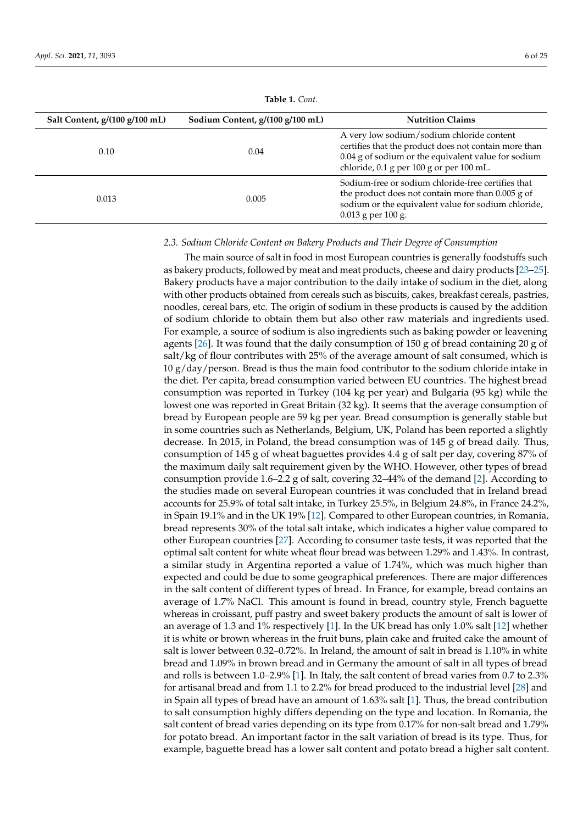<span id="page-5-0"></span>

| Salt Content, g/(100 g/100 mL) | Sodium Content, g/(100 g/100 mL) | <b>Nutrition Claims</b>                                                                                                                                                                               |  |
|--------------------------------|----------------------------------|-------------------------------------------------------------------------------------------------------------------------------------------------------------------------------------------------------|--|
| 0.10                           | 0.04                             | A very low sodium/sodium chloride content<br>certifies that the product does not contain more than<br>0.04 g of sodium or the equivalent value for sodium<br>chloride, 0.1 g per 100 g or per 100 mL. |  |
| 0.013                          | 0.005                            | Sodium-free or sodium chloride-free certifies that<br>the product does not contain more than 0.005 g of<br>sodium or the equivalent value for sodium chloride,<br>$0.013$ g per 100 g.                |  |

**Table 1.** *Cont.*

## *2.3. Sodium Chloride Content on Bakery Products and Their Degree of Consumption*

The main source of salt in food in most European countries is generally foodstuffs such as bakery products, followed by meat and meat products, cheese and dairy products [\[23](#page-21-11)[–25\]](#page-21-12). Bakery products have a major contribution to the daily intake of sodium in the diet, along with other products obtained from cereals such as biscuits, cakes, breakfast cereals, pastries, noodles, cereal bars, etc. The origin of sodium in these products is caused by the addition of sodium chloride to obtain them but also other raw materials and ingredients used. For example, a source of sodium is also ingredients such as baking powder or leavening agents [\[26\]](#page-21-13). It was found that the daily consumption of 150 g of bread containing 20 g of salt/kg of flour contributes with 25% of the average amount of salt consumed, which is  $10 g/day/person$ . Bread is thus the main food contributor to the sodium chloride intake in the diet. Per capita, bread consumption varied between EU countries. The highest bread consumption was reported in Turkey (104 kg per year) and Bulgaria (95 kg) while the lowest one was reported in Great Britain (32 kg). It seems that the average consumption of bread by European people are 59 kg per year. Bread consumption is generally stable but in some countries such as Netherlands, Belgium, UK, Poland has been reported a slightly decrease. In 2015, in Poland, the bread consumption was of 145 g of bread daily. Thus, consumption of 145 g of wheat baguettes provides 4.4 g of salt per day, covering 87% of the maximum daily salt requirement given by the WHO. However, other types of bread consumption provide 1.6–2.2 g of salt, covering 32–44% of the demand [\[2\]](#page-20-1). According to the studies made on several European countries it was concluded that in Ireland bread accounts for 25.9% of total salt intake, in Turkey 25.5%, in Belgium 24.8%, in France 24.2%, in Spain 19.1% and in the UK 19% [\[12\]](#page-21-0). Compared to other European countries, in Romania, bread represents 30% of the total salt intake, which indicates a higher value compared to other European countries [\[27\]](#page-21-14). According to consumer taste tests, it was reported that the optimal salt content for white wheat flour bread was between 1.29% and 1.43%. In contrast, a similar study in Argentina reported a value of 1.74%, which was much higher than expected and could be due to some geographical preferences. There are major differences in the salt content of different types of bread. In France, for example, bread contains an average of 1.7% NaCl. This amount is found in bread, country style, French baguette whereas in croissant, puff pastry and sweet bakery products the amount of salt is lower of an average of 1.3 and 1% respectively [\[1\]](#page-20-0). In the UK bread has only 1.0% salt [\[12\]](#page-21-0) whether it is white or brown whereas in the fruit buns, plain cake and fruited cake the amount of salt is lower between 0.32–0.72%. In Ireland, the amount of salt in bread is 1.10% in white bread and 1.09% in brown bread and in Germany the amount of salt in all types of bread and rolls is between 1.0–2.9% [\[1\]](#page-20-0). In Italy, the salt content of bread varies from 0.7 to 2.3% for artisanal bread and from 1.1 to 2.2% for bread produced to the industrial level [\[28\]](#page-21-15) and in Spain all types of bread have an amount of 1.63% salt [\[1\]](#page-20-0). Thus, the bread contribution to salt consumption highly differs depending on the type and location. In Romania, the salt content of bread varies depending on its type from 0.17% for non-salt bread and 1.79% for potato bread. An important factor in the salt variation of bread is its type. Thus, for example, baguette bread has a lower salt content and potato bread a higher salt content.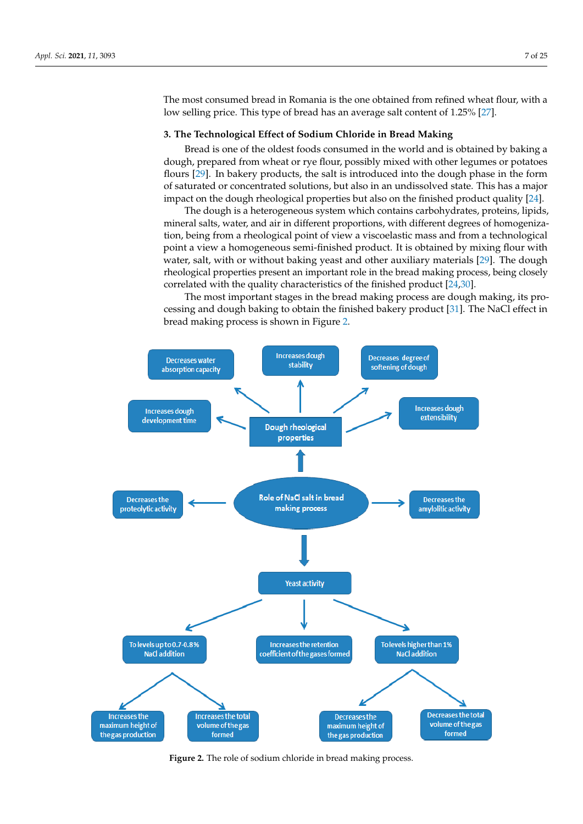The most consumed bread in Romania is the one obtained from refined wheat flour, with a low selling price. This type of bread has an average salt content of 1.25% [\[27\]](#page-21-14).

## **3. The Technological Effect of Sodium Chloride in Bread Making**

Bread is one of the oldest foods consumed in the world and is obtained by baking a dough, prepared from wheat or rye flour, possibly mixed with other legumes or potatoes flours [\[29\]](#page-21-16). In bakery products, the salt is introduced into the dough phase in the form of saturated or concentrated solutions, but also in an undissolved state. This has a major impact on the dough rheological properties but also on the finished product quality [\[24\]](#page-21-17).

The dough is a heterogeneous system which contains carbohydrates, proteins, lipids, mineral salts, water, and air in different proportions, with different degrees of homogenization, being from a rheological point of view a viscoelastic mass and from a technological point a view a homogeneous semi-finished product. It is obtained by mixing flour with water, salt, with or without baking yeast and other auxiliary materials [\[29\]](#page-21-16). The dough rheological properties present an important role in the bread making process, being closely correlated with the quality characteristics of the finished product [\[24,](#page-21-17)[30\]](#page-21-18).

<span id="page-6-0"></span>The most important stages in the bread making process are dough making, its pro-cessing and dough baking to obtain the finished bakery product [\[31\]](#page-21-19). The NaCl effect in bread making process is shown in Figure [2.](#page-6-0)



**Figure 2.** The role of sodium chloride in bread making process**. Figure 2.** The role of sodium chloride in bread making process.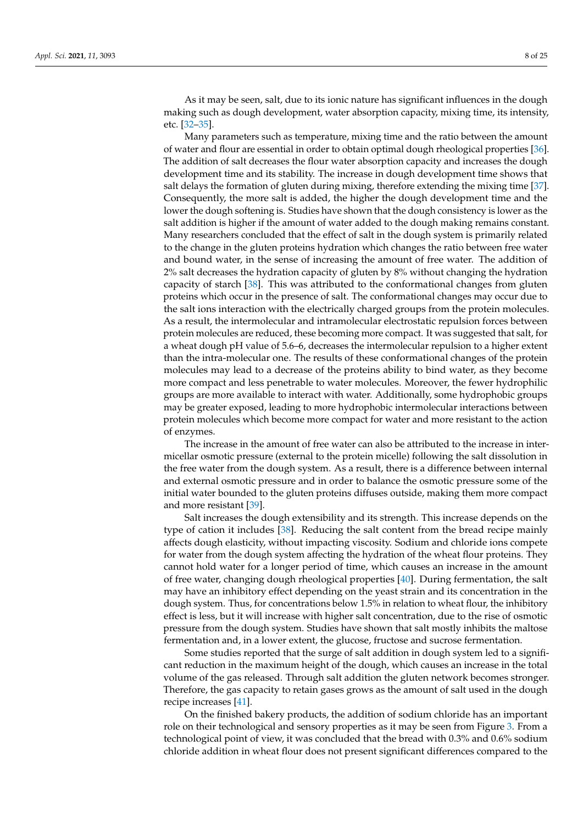As it may be seen, salt, due to its ionic nature has significant influences in the dough making such as dough development, water absorption capacity, mixing time, its intensity, etc. [\[32–](#page-21-20)[35\]](#page-21-21).

Many parameters such as temperature, mixing time and the ratio between the amount of water and flour are essential in order to obtain optimal dough rheological properties [\[36\]](#page-21-22). The addition of salt decreases the flour water absorption capacity and increases the dough development time and its stability. The increase in dough development time shows that salt delays the formation of gluten during mixing, therefore extending the mixing time [\[37\]](#page-21-23). Consequently, the more salt is added, the higher the dough development time and the lower the dough softening is. Studies have shown that the dough consistency is lower as the salt addition is higher if the amount of water added to the dough making remains constant. Many researchers concluded that the effect of salt in the dough system is primarily related to the change in the gluten proteins hydration which changes the ratio between free water and bound water, in the sense of increasing the amount of free water. The addition of 2% salt decreases the hydration capacity of gluten by 8% without changing the hydration capacity of starch [\[38\]](#page-21-24). This was attributed to the conformational changes from gluten proteins which occur in the presence of salt. The conformational changes may occur due to the salt ions interaction with the electrically charged groups from the protein molecules. As a result, the intermolecular and intramolecular electrostatic repulsion forces between protein molecules are reduced, these becoming more compact. It was suggested that salt, for a wheat dough pH value of 5.6–6, decreases the intermolecular repulsion to a higher extent than the intra-molecular one. The results of these conformational changes of the protein molecules may lead to a decrease of the proteins ability to bind water, as they become more compact and less penetrable to water molecules. Moreover, the fewer hydrophilic groups are more available to interact with water. Additionally, some hydrophobic groups may be greater exposed, leading to more hydrophobic intermolecular interactions between protein molecules which become more compact for water and more resistant to the action of enzymes.

The increase in the amount of free water can also be attributed to the increase in intermicellar osmotic pressure (external to the protein micelle) following the salt dissolution in the free water from the dough system. As a result, there is a difference between internal and external osmotic pressure and in order to balance the osmotic pressure some of the initial water bounded to the gluten proteins diffuses outside, making them more compact and more resistant [\[39\]](#page-21-25).

Salt increases the dough extensibility and its strength. This increase depends on the type of cation it includes [\[38\]](#page-21-24). Reducing the salt content from the bread recipe mainly affects dough elasticity, without impacting viscosity. Sodium and chloride ions compete for water from the dough system affecting the hydration of the wheat flour proteins. They cannot hold water for a longer period of time, which causes an increase in the amount of free water, changing dough rheological properties [\[40\]](#page-21-26). During fermentation, the salt may have an inhibitory effect depending on the yeast strain and its concentration in the dough system. Thus, for concentrations below 1.5% in relation to wheat flour, the inhibitory effect is less, but it will increase with higher salt concentration, due to the rise of osmotic pressure from the dough system. Studies have shown that salt mostly inhibits the maltose fermentation and, in a lower extent, the glucose, fructose and sucrose fermentation.

Some studies reported that the surge of salt addition in dough system led to a significant reduction in the maximum height of the dough, which causes an increase in the total volume of the gas released. Through salt addition the gluten network becomes stronger. Therefore, the gas capacity to retain gases grows as the amount of salt used in the dough recipe increases [\[41\]](#page-21-27).

On the finished bakery products, the addition of sodium chloride has an important role on their technological and sensory properties as it may be seen from Figure [3.](#page-8-0) From a technological point of view, it was concluded that the bread with 0.3% and 0.6% sodium chloride addition in wheat flour does not present significant differences compared to the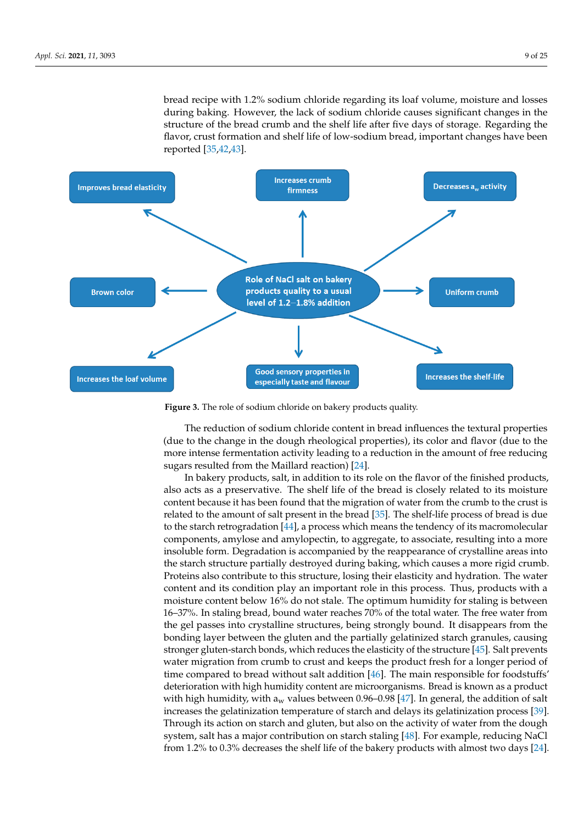bread recipe with 1.2% sodium chloride regarding its loaf volume, moisture and losses during baking. However, the lack of sodium chloride causes significant changes in the during claim<sub>s</sub>. Trowever, the flast of sociality entoring classes significant enarges in the structure of the bread crumb and the shelf life after five days of storage. Regarding the flavor, crust formation and shelf life of low-sodium bread, important changes have been reported [\[35,](#page-21-21)[42](#page-21-28)[,43\]](#page-22-0).

structure of the bread crumb and the shelf life after five days of storage. Regarding the

<span id="page-8-0"></span>

**Figure 3.** The role of sodium chloride on bakery products quality**. Figure 3.** The role of sodium chloride on bakery products quality.

In backers of the flavor of the finite content in addition to the flavor of the finite flavor of the change in the dough rheological properties), its color and flavor (due to the  $\alpha$  and the shelf life of the shelf life of the shelf life of the bread is constant  $\alpha$  related to  $\alpha$  relations in the smooth of free reduction more intense fermentation activity leading to a reduction in the amount of free reducing<br>sugges resulted from the Maillard reaction) [24] The reduction of sodium chloride content in bread influences the textural properties sugars resulted from the Maillard reaction) [\[24\]](#page-21-17).

In bakery products, salt, in addition to its role on the flavor of the finished products, also acts as a preservative. The shelf life of the bread is closely related to its moisture content because it has been found that the migration of water from the crumb to the crust is related to the amount of salt present in the bread [\[35\]](#page-21-21). The shelf-life process of bread is due to the starch retrogradation [\[44\]](#page-22-1), a process which means the tendency of its macromolecular components, amylose and amylopectin, to aggregate, to associate, resulting into a more insoluble form. Degradation is accompanied by the reappearance of crystalline areas into the starch structure partially destroyed during baking, which causes a more rigid crumb. Proteins also contribute to this structure, losing their elasticity and hydration. The water content and its condition play an important role in this process. Thus, products with a moisture content below 16% do not stale. The optimum humidity for staling is between 16–37%. In staling bread, bound water reaches 70% of the total water. The free water from the gel passes into crystalline structures, being strongly bound. It disappears from the bonding layer between the gluten and the partially gelatinized starch granules, causing stronger gluten-starch bonds, which reduces the elasticity of the structure [\[45\]](#page-22-2). Salt prevents water migration from crumb to crust and keeps the product fresh for a longer period of time compared to bread without salt addition [\[46\]](#page-22-3). The main responsible for foodstuffs' deterioration with high humidity content are microorganisms. Bread is known as a product with high humidity, with  $a_w$  values between 0.96–0.98 [\[47\]](#page-22-4). In general, the addition of salt increases the gelatinization temperature of starch and delays its gelatinization process [\[39\]](#page-21-25). Through its action on starch and gluten, but also on the activity of water from the dough system, salt has a major contribution on starch staling [\[48\]](#page-22-5). For example, reducing NaCl from 1.2% to 0.3% decreases the shelf life of the bakery products with almost two days [\[24\]](#page-21-17).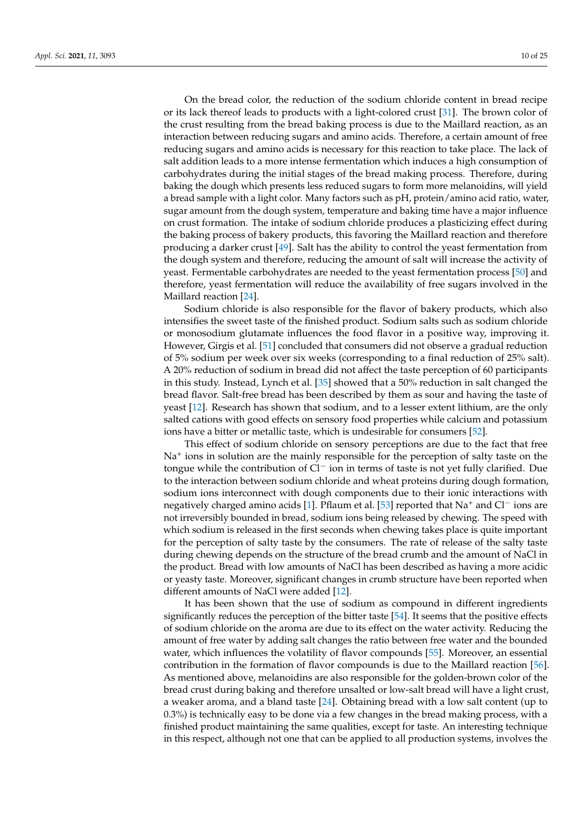On the bread color, the reduction of the sodium chloride content in bread recipe or its lack thereof leads to products with a light-colored crust [\[31\]](#page-21-19). The brown color of the crust resulting from the bread baking process is due to the Maillard reaction, as an interaction between reducing sugars and amino acids. Therefore, a certain amount of free reducing sugars and amino acids is necessary for this reaction to take place. The lack of salt addition leads to a more intense fermentation which induces a high consumption of carbohydrates during the initial stages of the bread making process. Therefore, during baking the dough which presents less reduced sugars to form more melanoidins, will yield a bread sample with a light color. Many factors such as pH, protein/amino acid ratio, water, sugar amount from the dough system, temperature and baking time have a major influence on crust formation. The intake of sodium chloride produces a plasticizing effect during the baking process of bakery products, this favoring the Maillard reaction and therefore producing a darker crust [\[49\]](#page-22-6). Salt has the ability to control the yeast fermentation from the dough system and therefore, reducing the amount of salt will increase the activity of yeast. Fermentable carbohydrates are needed to the yeast fermentation process [\[50\]](#page-22-7) and therefore, yeast fermentation will reduce the availability of free sugars involved in the Maillard reaction [\[24\]](#page-21-17).

Sodium chloride is also responsible for the flavor of bakery products, which also intensifies the sweet taste of the finished product. Sodium salts such as sodium chloride or monosodium glutamate influences the food flavor in a positive way, improving it. However, Girgis et al. [\[51\]](#page-22-8) concluded that consumers did not observe a gradual reduction of 5% sodium per week over six weeks (corresponding to a final reduction of 25% salt). A 20% reduction of sodium in bread did not affect the taste perception of 60 participants in this study. Instead, Lynch et al. [\[35\]](#page-21-21) showed that a 50% reduction in salt changed the bread flavor. Salt-free bread has been described by them as sour and having the taste of yeast [\[12\]](#page-21-0). Research has shown that sodium, and to a lesser extent lithium, are the only salted cations with good effects on sensory food properties while calcium and potassium ions have a bitter or metallic taste, which is undesirable for consumers [\[52\]](#page-22-9).

This effect of sodium chloride on sensory perceptions are due to the fact that free Na<sup>+</sup> ions in solution are the mainly responsible for the perception of salty taste on the tongue while the contribution of Cl<sup>−</sup> ion in terms of taste is not yet fully clarified. Due to the interaction between sodium chloride and wheat proteins during dough formation, sodium ions interconnect with dough components due to their ionic interactions with negatively charged amino acids [\[1\]](#page-20-0). Pflaum et al. [\[53\]](#page-22-10) reported that Na<sup>+</sup> and Cl<sup>−</sup> ions are not irreversibly bounded in bread, sodium ions being released by chewing. The speed with which sodium is released in the first seconds when chewing takes place is quite important for the perception of salty taste by the consumers. The rate of release of the salty taste during chewing depends on the structure of the bread crumb and the amount of NaCl in the product. Bread with low amounts of NaCl has been described as having a more acidic or yeasty taste. Moreover, significant changes in crumb structure have been reported when different amounts of NaCl were added [\[12\]](#page-21-0).

It has been shown that the use of sodium as compound in different ingredients significantly reduces the perception of the bitter taste [\[54\]](#page-22-11). It seems that the positive effects of sodium chloride on the aroma are due to its effect on the water activity. Reducing the amount of free water by adding salt changes the ratio between free water and the bounded water, which influences the volatility of flavor compounds [\[55\]](#page-22-12). Moreover, an essential contribution in the formation of flavor compounds is due to the Maillard reaction [\[56\]](#page-22-13). As mentioned above, melanoidins are also responsible for the golden-brown color of the bread crust during baking and therefore unsalted or low-salt bread will have a light crust, a weaker aroma, and a bland taste [\[24\]](#page-21-17). Obtaining bread with a low salt content (up to 0.3%) is technically easy to be done via a few changes in the bread making process, with a finished product maintaining the same qualities, except for taste. An interesting technique in this respect, although not one that can be applied to all production systems, involves the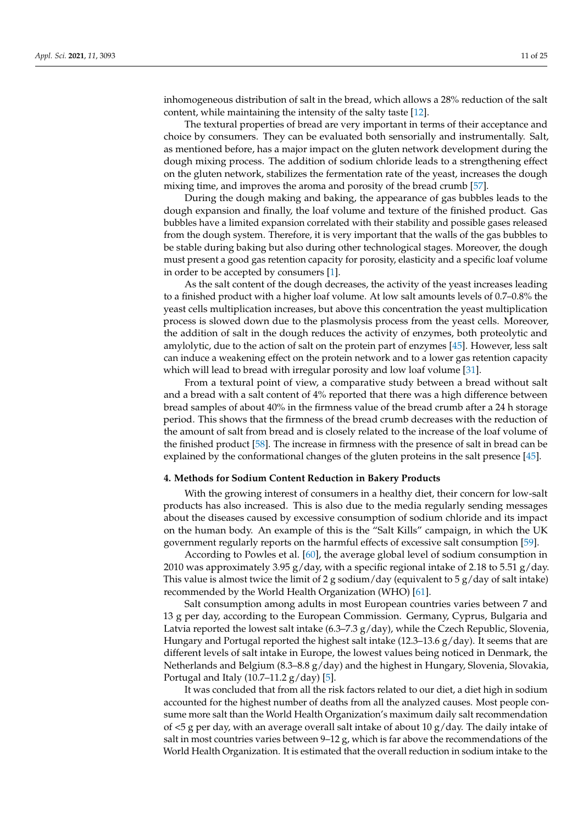inhomogeneous distribution of salt in the bread, which allows a 28% reduction of the salt content, while maintaining the intensity of the salty taste [\[12\]](#page-21-0).

The textural properties of bread are very important in terms of their acceptance and choice by consumers. They can be evaluated both sensorially and instrumentally. Salt, as mentioned before, has a major impact on the gluten network development during the dough mixing process. The addition of sodium chloride leads to a strengthening effect on the gluten network, stabilizes the fermentation rate of the yeast, increases the dough mixing time, and improves the aroma and porosity of the bread crumb [\[57\]](#page-22-14).

During the dough making and baking, the appearance of gas bubbles leads to the dough expansion and finally, the loaf volume and texture of the finished product. Gas bubbles have a limited expansion correlated with their stability and possible gases released from the dough system. Therefore, it is very important that the walls of the gas bubbles to be stable during baking but also during other technological stages. Moreover, the dough must present a good gas retention capacity for porosity, elasticity and a specific loaf volume in order to be accepted by consumers [\[1\]](#page-20-0).

As the salt content of the dough decreases, the activity of the yeast increases leading to a finished product with a higher loaf volume. At low salt amounts levels of 0.7–0.8% the yeast cells multiplication increases, but above this concentration the yeast multiplication process is slowed down due to the plasmolysis process from the yeast cells. Moreover, the addition of salt in the dough reduces the activity of enzymes, both proteolytic and amylolytic, due to the action of salt on the protein part of enzymes [\[45\]](#page-22-2). However, less salt can induce a weakening effect on the protein network and to a lower gas retention capacity which will lead to bread with irregular porosity and low loaf volume [\[31\]](#page-21-19).

From a textural point of view, a comparative study between a bread without salt and a bread with a salt content of 4% reported that there was a high difference between bread samples of about 40% in the firmness value of the bread crumb after a 24 h storage period. This shows that the firmness of the bread crumb decreases with the reduction of the amount of salt from bread and is closely related to the increase of the loaf volume of the finished product [\[58\]](#page-22-15). The increase in firmness with the presence of salt in bread can be explained by the conformational changes of the gluten proteins in the salt presence [\[45\]](#page-22-2).

## **4. Methods for Sodium Content Reduction in Bakery Products**

With the growing interest of consumers in a healthy diet, their concern for low-salt products has also increased. This is also due to the media regularly sending messages about the diseases caused by excessive consumption of sodium chloride and its impact on the human body. An example of this is the "Salt Kills" campaign, in which the UK government regularly reports on the harmful effects of excessive salt consumption [\[59\]](#page-22-16).

According to Powles et al. [\[60\]](#page-22-17), the average global level of sodium consumption in 2010 was approximately 3.95 g/day, with a specific regional intake of 2.18 to 5.51 g/day. This value is almost twice the limit of 2 g sodium/day (equivalent to 5  $g$ /day of salt intake) recommended by the World Health Organization (WHO) [\[61\]](#page-22-18).

Salt consumption among adults in most European countries varies between 7 and 13 g per day, according to the European Commission. Germany, Cyprus, Bulgaria and Latvia reported the lowest salt intake  $(6.3–7.3 \text{ g/day})$ , while the Czech Republic, Slovenia, Hungary and Portugal reported the highest salt intake  $(12.3-13.6 g/day)$ . It seems that are different levels of salt intake in Europe, the lowest values being noticed in Denmark, the Netherlands and Belgium (8.3–8.8  $g/day$ ) and the highest in Hungary, Slovenia, Slovakia, Portugal and Italy (10.7–11.2  $g/day$ ) [\[5\]](#page-20-4).

It was concluded that from all the risk factors related to our diet, a diet high in sodium accounted for the highest number of deaths from all the analyzed causes. Most people consume more salt than the World Health Organization's maximum daily salt recommendation of  $\leq$  5 g per day, with an average overall salt intake of about 10 g/day. The daily intake of salt in most countries varies between  $9-12$  g, which is far above the recommendations of the World Health Organization. It is estimated that the overall reduction in sodium intake to the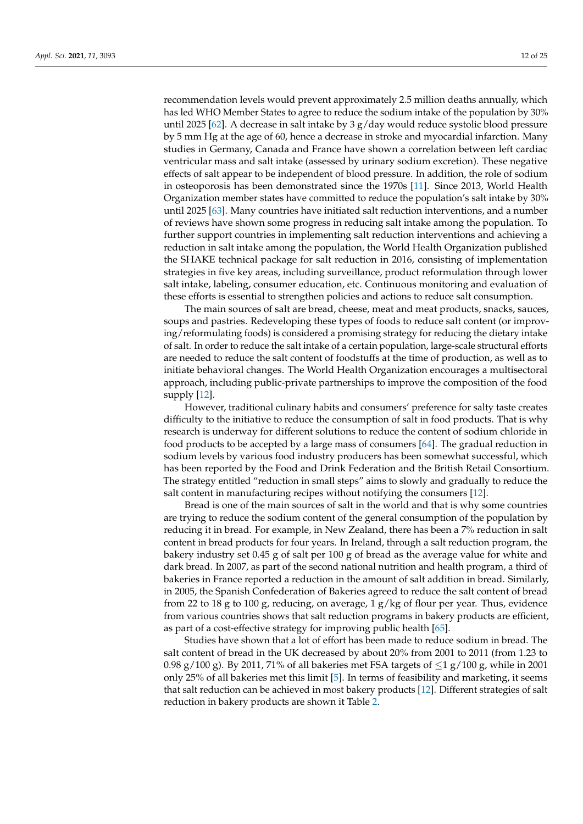recommendation levels would prevent approximately 2.5 million deaths annually, which has led WHO Member States to agree to reduce the sodium intake of the population by 30% until 2025 [\[62\]](#page-22-19). A decrease in salt intake by 3  $g$ /day would reduce systolic blood pressure by 5 mm Hg at the age of 60, hence a decrease in stroke and myocardial infarction. Many studies in Germany, Canada and France have shown a correlation between left cardiac ventricular mass and salt intake (assessed by urinary sodium excretion). These negative effects of salt appear to be independent of blood pressure. In addition, the role of sodium in osteoporosis has been demonstrated since the 1970s [\[11\]](#page-20-10). Since 2013, World Health Organization member states have committed to reduce the population's salt intake by 30% until 2025 [\[63\]](#page-22-20). Many countries have initiated salt reduction interventions, and a number of reviews have shown some progress in reducing salt intake among the population. To further support countries in implementing salt reduction interventions and achieving a reduction in salt intake among the population, the World Health Organization published the SHAKE technical package for salt reduction in 2016, consisting of implementation strategies in five key areas, including surveillance, product reformulation through lower salt intake, labeling, consumer education, etc. Continuous monitoring and evaluation of these efforts is essential to strengthen policies and actions to reduce salt consumption.

The main sources of salt are bread, cheese, meat and meat products, snacks, sauces, soups and pastries. Redeveloping these types of foods to reduce salt content (or improving/reformulating foods) is considered a promising strategy for reducing the dietary intake of salt. In order to reduce the salt intake of a certain population, large-scale structural efforts are needed to reduce the salt content of foodstuffs at the time of production, as well as to initiate behavioral changes. The World Health Organization encourages a multisectoral approach, including public-private partnerships to improve the composition of the food supply [\[12\]](#page-21-0).

However, traditional culinary habits and consumers' preference for salty taste creates difficulty to the initiative to reduce the consumption of salt in food products. That is why research is underway for different solutions to reduce the content of sodium chloride in food products to be accepted by a large mass of consumers [\[64\]](#page-22-21). The gradual reduction in sodium levels by various food industry producers has been somewhat successful, which has been reported by the Food and Drink Federation and the British Retail Consortium. The strategy entitled "reduction in small steps" aims to slowly and gradually to reduce the salt content in manufacturing recipes without notifying the consumers [\[12\]](#page-21-0).

Bread is one of the main sources of salt in the world and that is why some countries are trying to reduce the sodium content of the general consumption of the population by reducing it in bread. For example, in New Zealand, there has been a 7% reduction in salt content in bread products for four years. In Ireland, through a salt reduction program, the bakery industry set 0.45 g of salt per 100 g of bread as the average value for white and dark bread. In 2007, as part of the second national nutrition and health program, a third of bakeries in France reported a reduction in the amount of salt addition in bread. Similarly, in 2005, the Spanish Confederation of Bakeries agreed to reduce the salt content of bread from 22 to 18 g to 100 g, reducing, on average, 1 g/kg of flour per year. Thus, evidence from various countries shows that salt reduction programs in bakery products are efficient, as part of a cost-effective strategy for improving public health [\[65\]](#page-22-22).

Studies have shown that a lot of effort has been made to reduce sodium in bread. The salt content of bread in the UK decreased by about 20% from 2001 to 2011 (from 1.23 to 0.98 g/100 g). By 2011, 71% of all bakeries met FSA targets of  $\leq$ 1 g/100 g, while in 2001 only 25% of all bakeries met this limit [\[5\]](#page-20-4). In terms of feasibility and marketing, it seems that salt reduction can be achieved in most bakery products [\[12\]](#page-21-0). Different strategies of salt reduction in bakery products are shown it Table [2.](#page-13-0)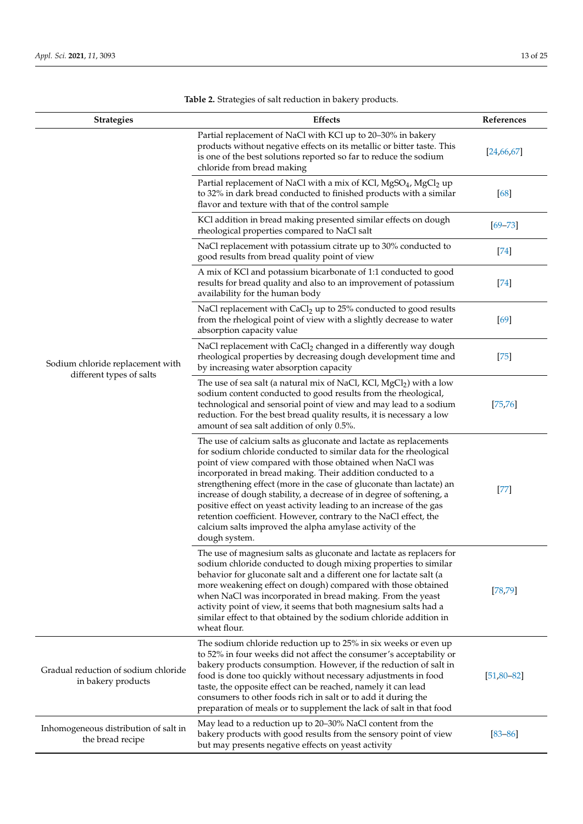$\overline{a}$  $\overline{a}$ 

| <b>Strategies</b>                                            | <b>Effects</b>                                                                                                                                                                                                                                                                                                                                                                                                                                                                                                                                                                                                                            | References           |
|--------------------------------------------------------------|-------------------------------------------------------------------------------------------------------------------------------------------------------------------------------------------------------------------------------------------------------------------------------------------------------------------------------------------------------------------------------------------------------------------------------------------------------------------------------------------------------------------------------------------------------------------------------------------------------------------------------------------|----------------------|
| Sodium chloride replacement with<br>different types of salts | Partial replacement of NaCl with KCl up to 20-30% in bakery<br>products without negative effects on its metallic or bitter taste. This<br>is one of the best solutions reported so far to reduce the sodium<br>chloride from bread making                                                                                                                                                                                                                                                                                                                                                                                                 | [24, 66, 67]         |
|                                                              | Partial replacement of NaCl with a mix of KCl, MgSO <sub>4</sub> , MgCl <sub>2</sub> up<br>to 32% in dark bread conducted to finished products with a similar<br>flavor and texture with that of the control sample                                                                                                                                                                                                                                                                                                                                                                                                                       | [68]                 |
|                                                              | KCl addition in bread making presented similar effects on dough<br>rheological properties compared to NaCl salt                                                                                                                                                                                                                                                                                                                                                                                                                                                                                                                           | $[69 - 73]$          |
|                                                              | NaCl replacement with potassium citrate up to 30% conducted to<br>good results from bread quality point of view                                                                                                                                                                                                                                                                                                                                                                                                                                                                                                                           | $[74]$               |
|                                                              | A mix of KCl and potassium bicarbonate of 1:1 conducted to good<br>results for bread quality and also to an improvement of potassium<br>availability for the human body                                                                                                                                                                                                                                                                                                                                                                                                                                                                   | $[74]$               |
|                                                              | NaCl replacement with CaCl <sub>2</sub> up to 25% conducted to good results<br>from the rhelogical point of view with a slightly decrease to water<br>absorption capacity value                                                                                                                                                                                                                                                                                                                                                                                                                                                           | $[69]$               |
|                                                              | NaCl replacement with CaCl <sub>2</sub> changed in a differently way dough<br>rheological properties by decreasing dough development time and<br>by increasing water absorption capacity                                                                                                                                                                                                                                                                                                                                                                                                                                                  | $[75]$               |
|                                                              | The use of sea salt (a natural mix of NaCl, KCl, $MgCl_2$ ) with a low<br>sodium content conducted to good results from the rheological,<br>technological and sensorial point of view and may lead to a sodium<br>reduction. For the best bread quality results, it is necessary a low<br>amount of sea salt addition of only 0.5%.                                                                                                                                                                                                                                                                                                       | [75, 76]             |
|                                                              | The use of calcium salts as gluconate and lactate as replacements<br>for sodium chloride conducted to similar data for the rheological<br>point of view compared with those obtained when NaCl was<br>incorporated in bread making. Their addition conducted to a<br>strengthening effect (more in the case of gluconate than lactate) an<br>increase of dough stability, a decrease of in degree of softening, a<br>positive effect on yeast activity leading to an increase of the gas<br>retention coefficient. However, contrary to the NaCl effect, the<br>calcium salts improved the alpha amylase activity of the<br>dough system. | $[77] \label{eq:77}$ |
|                                                              | The use of magnesium salts as gluconate and lactate as replacers for<br>sodium chloride conducted to dough mixing properties to similar<br>behavior for gluconate salt and a different one for lactate salt (a<br>more weakening effect on dough) compared with those obtained<br>when NaCl was incorporated in bread making. From the yeast<br>activity point of view, it seems that both magnesium salts had a<br>similar effect to that obtained by the sodium chloride addition in<br>wheat flour.                                                                                                                                    | [78, 79]             |
| Gradual reduction of sodium chloride<br>in bakery products   | The sodium chloride reduction up to 25% in six weeks or even up<br>to 52% in four weeks did not affect the consumer's acceptability or<br>bakery products consumption. However, if the reduction of salt in<br>food is done too quickly without necessary adjustments in food<br>taste, the opposite effect can be reached, namely it can lead<br>consumers to other foods rich in salt or to add it during the<br>preparation of meals or to supplement the lack of salt in that food                                                                                                                                                    | $[51, 80 - 82]$      |
| Inhomogeneous distribution of salt in<br>the bread recipe    | May lead to a reduction up to 20–30% NaCl content from the<br>bakery products with good results from the sensory point of view<br>but may presents negative effects on yeast activity                                                                                                                                                                                                                                                                                                                                                                                                                                                     | $[83 - 86]$          |

**Table 2.** Strategies of salt reduction in bakery products.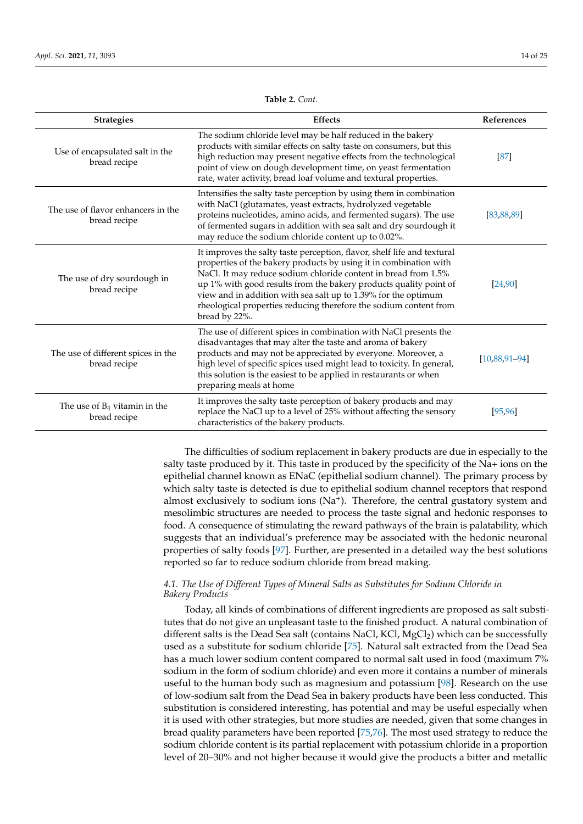<span id="page-13-0"></span>

| <b>Strategies</b>                                  | <b>Effects</b>                                                                                                                                                                                                                                                                                                                                                                                                                              | References      |
|----------------------------------------------------|---------------------------------------------------------------------------------------------------------------------------------------------------------------------------------------------------------------------------------------------------------------------------------------------------------------------------------------------------------------------------------------------------------------------------------------------|-----------------|
| Use of encapsulated salt in the<br>bread recipe    | The sodium chloride level may be half reduced in the bakery<br>products with similar effects on salty taste on consumers, but this<br>high reduction may present negative effects from the technological<br>point of view on dough development time, on yeast fermentation<br>rate, water activity, bread loaf volume and textural properties.                                                                                              | [87]            |
| The use of flavor enhancers in the<br>bread recipe | Intensifies the salty taste perception by using them in combination<br>with NaCl (glutamates, yeast extracts, hydrolyzed vegetable<br>proteins nucleotides, amino acids, and fermented sugars). The use<br>of fermented sugars in addition with sea salt and dry sourdough it<br>may reduce the sodium chloride content up to 0.02%.                                                                                                        | [83, 88, 89]    |
| The use of dry sourdough in<br>bread recipe        | It improves the salty taste perception, flavor, shelf life and textural<br>properties of the bakery products by using it in combination with<br>NaCl. It may reduce sodium chloride content in bread from 1.5%<br>up 1% with good results from the bakery products quality point of<br>view and in addition with sea salt up to 1.39% for the optimum<br>rheological properties reducing therefore the sodium content from<br>bread by 22%. | [24, 90]        |
| The use of different spices in the<br>bread recipe | The use of different spices in combination with NaCl presents the<br>disadvantages that may alter the taste and aroma of bakery<br>products and may not be appreciated by everyone. Moreover, a<br>high level of specific spices used might lead to toxicity. In general,<br>this solution is the easiest to be applied in restaurants or when<br>preparing meals at home                                                                   | $[10,88,91-94]$ |
| The use of $B_4$ vitamin in the<br>bread recipe    | It improves the salty taste perception of bakery products and may<br>replace the NaCl up to a level of 25% without affecting the sensory<br>characteristics of the bakery products.                                                                                                                                                                                                                                                         | [95, 96]        |

**Table 2.** *Cont.*

The difficulties of sodium replacement in bakery products are due in especially to the salty taste produced by it. This taste in produced by the specificity of the Na+ ions on the epithelial channel known as ENaC (epithelial sodium channel). The primary process by which salty taste is detected is due to epithelial sodium channel receptors that respond almost exclusively to sodium ions (Na<sup>+</sup>). Therefore, the central gustatory system and mesolimbic structures are needed to process the taste signal and hedonic responses to food. A consequence of stimulating the reward pathways of the brain is palatability, which suggests that an individual's preference may be associated with the hedonic neuronal properties of salty foods [\[97\]](#page-23-19). Further, are presented in a detailed way the best solutions reported so far to reduce sodium chloride from bread making.

## *4.1. The Use of Different Types of Mineral Salts as Substitutes for Sodium Chloride in Bakery Products*

Today, all kinds of combinations of different ingredients are proposed as salt substitutes that do not give an unpleasant taste to the finished product. A natural combination of different salts is the Dead Sea salt (contains NaCl, KCl, MgCl<sub>2</sub>) which can be successfully used as a substitute for sodium chloride [\[75\]](#page-23-2). Natural salt extracted from the Dead Sea has a much lower sodium content compared to normal salt used in food (maximum 7% sodium in the form of sodium chloride) and even more it contains a number of minerals useful to the human body such as magnesium and potassium [\[98\]](#page-23-20). Research on the use of low-sodium salt from the Dead Sea in bakery products have been less conducted. This substitution is considered interesting, has potential and may be useful especially when it is used with other strategies, but more studies are needed, given that some changes in bread quality parameters have been reported [\[75,](#page-23-2)[76\]](#page-23-3). The most used strategy to reduce the sodium chloride content is its partial replacement with potassium chloride in a proportion level of 20–30% and not higher because it would give the products a bitter and metallic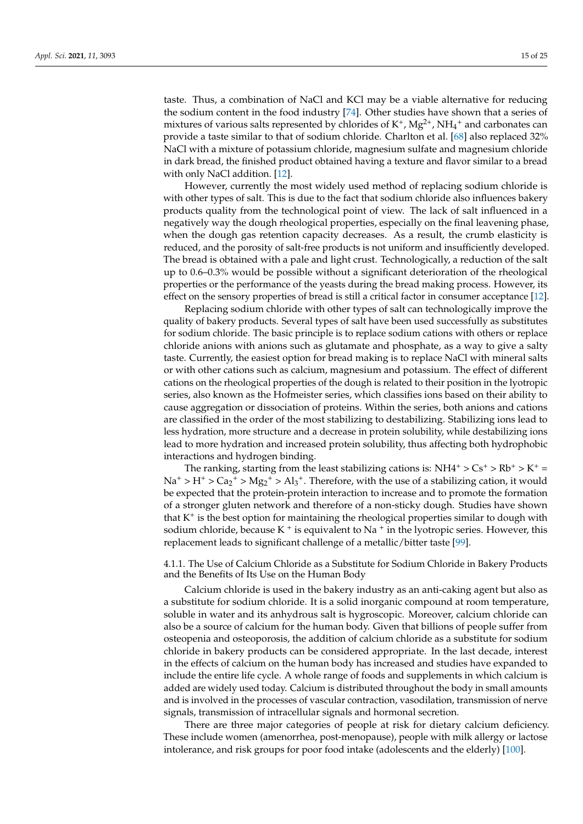taste. Thus, a combination of NaCl and KCl may be a viable alternative for reducing the sodium content in the food industry [\[74\]](#page-23-1). Other studies have shown that a series of mixtures of various salts represented by chlorides of  $K^+$ ,  $Mg^{2+}$ ,  $NH_4^+$  and carbonates can provide a taste similar to that of sodium chloride. Charlton et al. [\[68\]](#page-22-25) also replaced 32% NaCl with a mixture of potassium chloride, magnesium sulfate and magnesium chloride in dark bread, the finished product obtained having a texture and flavor similar to a bread with only NaCl addition. [\[12\]](#page-21-0).

However, currently the most widely used method of replacing sodium chloride is with other types of salt. This is due to the fact that sodium chloride also influences bakery products quality from the technological point of view. The lack of salt influenced in a negatively way the dough rheological properties, especially on the final leavening phase, when the dough gas retention capacity decreases. As a result, the crumb elasticity is reduced, and the porosity of salt-free products is not uniform and insufficiently developed. The bread is obtained with a pale and light crust. Technologically, a reduction of the salt up to 0.6–0.3% would be possible without a significant deterioration of the rheological properties or the performance of the yeasts during the bread making process. However, its effect on the sensory properties of bread is still a critical factor in consumer acceptance [\[12\]](#page-21-0).

Replacing sodium chloride with other types of salt can technologically improve the quality of bakery products. Several types of salt have been used successfully as substitutes for sodium chloride. The basic principle is to replace sodium cations with others or replace chloride anions with anions such as glutamate and phosphate, as a way to give a salty taste. Currently, the easiest option for bread making is to replace NaCl with mineral salts or with other cations such as calcium, magnesium and potassium. The effect of different cations on the rheological properties of the dough is related to their position in the lyotropic series, also known as the Hofmeister series, which classifies ions based on their ability to cause aggregation or dissociation of proteins. Within the series, both anions and cations are classified in the order of the most stabilizing to destabilizing. Stabilizing ions lead to less hydration, more structure and a decrease in protein solubility, while destabilizing ions lead to more hydration and increased protein solubility, thus affecting both hydrophobic interactions and hydrogen binding.

The ranking, starting from the least stabilizing cations is:  $NH4^+ > Cs^+ > Rb^+ > K^+ =$  $Na^+ > H^+ > Ca_2^+ > Mg_2^+ > Al_3^+$ . Therefore, with the use of a stabilizing cation, it would be expected that the protein-protein interaction to increase and to promote the formation of a stronger gluten network and therefore of a non-sticky dough. Studies have shown that  $K^+$  is the best option for maintaining the rheological properties similar to dough with sodium chloride, because K  $^+$  is equivalent to Na  $^+$  in the lyotropic series. However, this replacement leads to significant challenge of a metallic/bitter taste [\[99\]](#page-23-21).

4.1.1. The Use of Calcium Chloride as a Substitute for Sodium Chloride in Bakery Products and the Benefits of Its Use on the Human Body

Calcium chloride is used in the bakery industry as an anti-caking agent but also as a substitute for sodium chloride. It is a solid inorganic compound at room temperature, soluble in water and its anhydrous salt is hygroscopic. Moreover, calcium chloride can also be a source of calcium for the human body. Given that billions of people suffer from osteopenia and osteoporosis, the addition of calcium chloride as a substitute for sodium chloride in bakery products can be considered appropriate. In the last decade, interest in the effects of calcium on the human body has increased and studies have expanded to include the entire life cycle. A whole range of foods and supplements in which calcium is added are widely used today. Calcium is distributed throughout the body in small amounts and is involved in the processes of vascular contraction, vasodilation, transmission of nerve signals, transmission of intracellular signals and hormonal secretion.

There are three major categories of people at risk for dietary calcium deficiency. These include women (amenorrhea, post-menopause), people with milk allergy or lactose intolerance, and risk groups for poor food intake (adolescents and the elderly) [\[100\]](#page-23-22).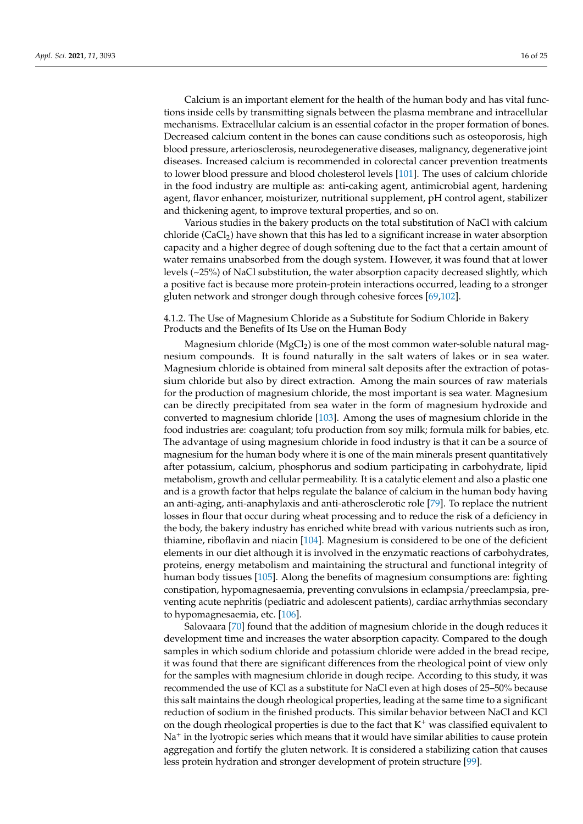Calcium is an important element for the health of the human body and has vital functions inside cells by transmitting signals between the plasma membrane and intracellular mechanisms. Extracellular calcium is an essential cofactor in the proper formation of bones. Decreased calcium content in the bones can cause conditions such as osteoporosis, high blood pressure, arteriosclerosis, neurodegenerative diseases, malignancy, degenerative joint diseases. Increased calcium is recommended in colorectal cancer prevention treatments to lower blood pressure and blood cholesterol levels [\[101\]](#page-24-0). The uses of calcium chloride in the food industry are multiple as: anti-caking agent, antimicrobial agent, hardening agent, flavor enhancer, moisturizer, nutritional supplement, pH control agent, stabilizer and thickening agent, to improve textural properties, and so on.

Various studies in the bakery products on the total substitution of NaCl with calcium chloride (CaCl<sub>2</sub>) have shown that this has led to a significant increase in water absorption capacity and a higher degree of dough softening due to the fact that a certain amount of water remains unabsorbed from the dough system. However, it was found that at lower levels (~25%) of NaCl substitution, the water absorption capacity decreased slightly, which a positive fact is because more protein-protein interactions occurred, leading to a stronger gluten network and stronger dough through cohesive forces [\[69,](#page-22-26)[102\]](#page-24-1).

# 4.1.2. The Use of Magnesium Chloride as a Substitute for Sodium Chloride in Bakery Products and the Benefits of Its Use on the Human Body

Magnesium chloride ( $MgCl<sub>2</sub>$ ) is one of the most common water-soluble natural magnesium compounds. It is found naturally in the salt waters of lakes or in sea water. Magnesium chloride is obtained from mineral salt deposits after the extraction of potassium chloride but also by direct extraction. Among the main sources of raw materials for the production of magnesium chloride, the most important is sea water. Magnesium can be directly precipitated from sea water in the form of magnesium hydroxide and converted to magnesium chloride [\[103\]](#page-24-2). Among the uses of magnesium chloride in the food industries are: coagulant; tofu production from soy milk; formula milk for babies, etc. The advantage of using magnesium chloride in food industry is that it can be a source of magnesium for the human body where it is one of the main minerals present quantitatively after potassium, calcium, phosphorus and sodium participating in carbohydrate, lipid metabolism, growth and cellular permeability. It is a catalytic element and also a plastic one and is a growth factor that helps regulate the balance of calcium in the human body having an anti-aging, anti-anaphylaxis and anti-atherosclerotic role [\[79\]](#page-23-6). To replace the nutrient losses in flour that occur during wheat processing and to reduce the risk of a deficiency in the body, the bakery industry has enriched white bread with various nutrients such as iron, thiamine, riboflavin and niacin [\[104\]](#page-24-3). Magnesium is considered to be one of the deficient elements in our diet although it is involved in the enzymatic reactions of carbohydrates, proteins, energy metabolism and maintaining the structural and functional integrity of human body tissues [\[105\]](#page-24-4). Along the benefits of magnesium consumptions are: fighting constipation, hypomagnesaemia, preventing convulsions in eclampsia/preeclampsia, preventing acute nephritis (pediatric and adolescent patients), cardiac arrhythmias secondary to hypomagnesaemia, etc. [\[106\]](#page-24-5).

Salovaara [\[70\]](#page-22-27) found that the addition of magnesium chloride in the dough reduces it development time and increases the water absorption capacity. Compared to the dough samples in which sodium chloride and potassium chloride were added in the bread recipe, it was found that there are significant differences from the rheological point of view only for the samples with magnesium chloride in dough recipe. According to this study, it was recommended the use of KCl as a substitute for NaCl even at high doses of 25–50% because this salt maintains the dough rheological properties, leading at the same time to a significant reduction of sodium in the finished products. This similar behavior between NaCl and KCl on the dough rheological properties is due to the fact that  $K^+$  was classified equivalent to Na<sup>+</sup> in the lyotropic series which means that it would have similar abilities to cause protein aggregation and fortify the gluten network. It is considered a stabilizing cation that causes less protein hydration and stronger development of protein structure [\[99\]](#page-23-21).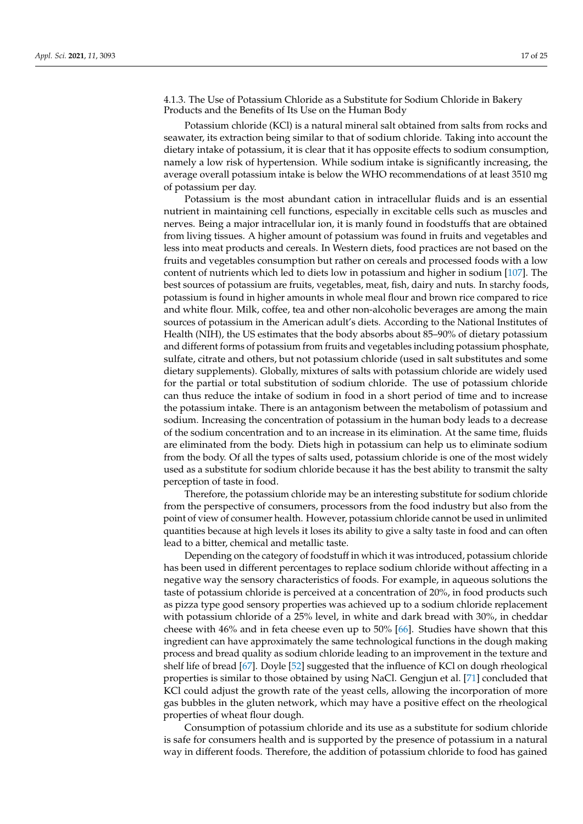4.1.3. The Use of Potassium Chloride as a Substitute for Sodium Chloride in Bakery Products and the Benefits of Its Use on the Human Body

Potassium chloride (KCl) is a natural mineral salt obtained from salts from rocks and seawater, its extraction being similar to that of sodium chloride. Taking into account the dietary intake of potassium, it is clear that it has opposite effects to sodium consumption, namely a low risk of hypertension. While sodium intake is significantly increasing, the average overall potassium intake is below the WHO recommendations of at least 3510 mg of potassium per day.

Potassium is the most abundant cation in intracellular fluids and is an essential nutrient in maintaining cell functions, especially in excitable cells such as muscles and nerves. Being a major intracellular ion, it is manly found in foodstuffs that are obtained from living tissues. A higher amount of potassium was found in fruits and vegetables and less into meat products and cereals. In Western diets, food practices are not based on the fruits and vegetables consumption but rather on cereals and processed foods with a low content of nutrients which led to diets low in potassium and higher in sodium [\[107\]](#page-24-6). The best sources of potassium are fruits, vegetables, meat, fish, dairy and nuts. In starchy foods, potassium is found in higher amounts in whole meal flour and brown rice compared to rice and white flour. Milk, coffee, tea and other non-alcoholic beverages are among the main sources of potassium in the American adult's diets. According to the National Institutes of Health (NIH), the US estimates that the body absorbs about 85–90% of dietary potassium and different forms of potassium from fruits and vegetables including potassium phosphate, sulfate, citrate and others, but not potassium chloride (used in salt substitutes and some dietary supplements). Globally, mixtures of salts with potassium chloride are widely used for the partial or total substitution of sodium chloride. The use of potassium chloride can thus reduce the intake of sodium in food in a short period of time and to increase the potassium intake. There is an antagonism between the metabolism of potassium and sodium. Increasing the concentration of potassium in the human body leads to a decrease of the sodium concentration and to an increase in its elimination. At the same time, fluids are eliminated from the body. Diets high in potassium can help us to eliminate sodium from the body. Of all the types of salts used, potassium chloride is one of the most widely used as a substitute for sodium chloride because it has the best ability to transmit the salty perception of taste in food.

Therefore, the potassium chloride may be an interesting substitute for sodium chloride from the perspective of consumers, processors from the food industry but also from the point of view of consumer health. However, potassium chloride cannot be used in unlimited quantities because at high levels it loses its ability to give a salty taste in food and can often lead to a bitter, chemical and metallic taste.

Depending on the category of foodstuff in which it was introduced, potassium chloride has been used in different percentages to replace sodium chloride without affecting in a negative way the sensory characteristics of foods. For example, in aqueous solutions the taste of potassium chloride is perceived at a concentration of 20%, in food products such as pizza type good sensory properties was achieved up to a sodium chloride replacement with potassium chloride of a 25% level, in white and dark bread with 30%, in cheddar cheese with 46% and in feta cheese even up to 50% [\[66\]](#page-22-23). Studies have shown that this ingredient can have approximately the same technological functions in the dough making process and bread quality as sodium chloride leading to an improvement in the texture and shelf life of bread [\[67\]](#page-22-24). Doyle [\[52\]](#page-22-9) suggested that the influence of KCl on dough rheological properties is similar to those obtained by using NaCl. Gengjun et al. [\[71\]](#page-22-28) concluded that KCl could adjust the growth rate of the yeast cells, allowing the incorporation of more gas bubbles in the gluten network, which may have a positive effect on the rheological properties of wheat flour dough.

Consumption of potassium chloride and its use as a substitute for sodium chloride is safe for consumers health and is supported by the presence of potassium in a natural way in different foods. Therefore, the addition of potassium chloride to food has gained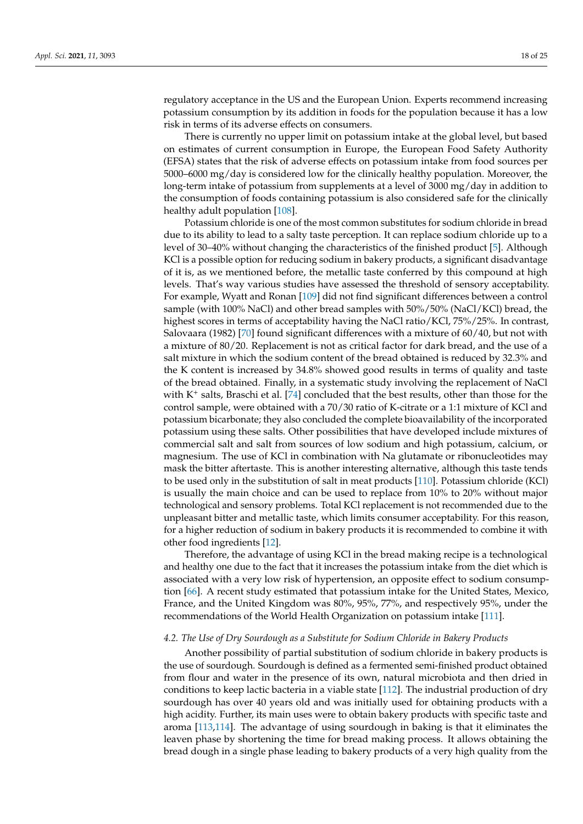regulatory acceptance in the US and the European Union. Experts recommend increasing potassium consumption by its addition in foods for the population because it has a low risk in terms of its adverse effects on consumers.

There is currently no upper limit on potassium intake at the global level, but based on estimates of current consumption in Europe, the European Food Safety Authority (EFSA) states that the risk of adverse effects on potassium intake from food sources per 5000–6000 mg/day is considered low for the clinically healthy population. Moreover, the long-term intake of potassium from supplements at a level of 3000 mg/day in addition to the consumption of foods containing potassium is also considered safe for the clinically healthy adult population [\[108\]](#page-24-7).

Potassium chloride is one of the most common substitutes for sodium chloride in bread due to its ability to lead to a salty taste perception. It can replace sodium chloride up to a level of 30–40% without changing the characteristics of the finished product [\[5\]](#page-20-4). Although KCl is a possible option for reducing sodium in bakery products, a significant disadvantage of it is, as we mentioned before, the metallic taste conferred by this compound at high levels. That's way various studies have assessed the threshold of sensory acceptability. For example, Wyatt and Ronan [\[109\]](#page-24-8) did not find significant differences between a control sample (with 100% NaCl) and other bread samples with 50%/50% (NaCl/KCl) bread, the highest scores in terms of acceptability having the NaCl ratio/KCl, 75%/25%. In contrast, Salovaara (1982) [\[70\]](#page-22-27) found significant differences with a mixture of 60/40, but not with a mixture of 80/20. Replacement is not as critical factor for dark bread, and the use of a salt mixture in which the sodium content of the bread obtained is reduced by 32.3% and the K content is increased by 34.8% showed good results in terms of quality and taste of the bread obtained. Finally, in a systematic study involving the replacement of NaCl with  $K^+$  salts, Braschi et al. [\[74\]](#page-23-1) concluded that the best results, other than those for the control sample, were obtained with a 70/30 ratio of K-citrate or a 1:1 mixture of KCl and potassium bicarbonate; they also concluded the complete bioavailability of the incorporated potassium using these salts. Other possibilities that have developed include mixtures of commercial salt and salt from sources of low sodium and high potassium, calcium, or magnesium. The use of KCl in combination with Na glutamate or ribonucleotides may mask the bitter aftertaste. This is another interesting alternative, although this taste tends to be used only in the substitution of salt in meat products [\[110\]](#page-24-9). Potassium chloride (KCl) is usually the main choice and can be used to replace from 10% to 20% without major technological and sensory problems. Total KCl replacement is not recommended due to the unpleasant bitter and metallic taste, which limits consumer acceptability. For this reason, for a higher reduction of sodium in bakery products it is recommended to combine it with other food ingredients [\[12\]](#page-21-0).

Therefore, the advantage of using KCl in the bread making recipe is a technological and healthy one due to the fact that it increases the potassium intake from the diet which is associated with a very low risk of hypertension, an opposite effect to sodium consumption [\[66\]](#page-22-23). A recent study estimated that potassium intake for the United States, Mexico, France, and the United Kingdom was 80%, 95%, 77%, and respectively 95%, under the recommendations of the World Health Organization on potassium intake [\[111\]](#page-24-10).

#### *4.2. The Use of Dry Sourdough as a Substitute for Sodium Chloride in Bakery Products*

Another possibility of partial substitution of sodium chloride in bakery products is the use of sourdough. Sourdough is defined as a fermented semi-finished product obtained from flour and water in the presence of its own, natural microbiota and then dried in conditions to keep lactic bacteria in a viable state [\[112\]](#page-24-11). The industrial production of dry sourdough has over 40 years old and was initially used for obtaining products with a high acidity. Further, its main uses were to obtain bakery products with specific taste and aroma [\[113](#page-24-12)[,114\]](#page-24-13). The advantage of using sourdough in baking is that it eliminates the leaven phase by shortening the time for bread making process. It allows obtaining the bread dough in a single phase leading to bakery products of a very high quality from the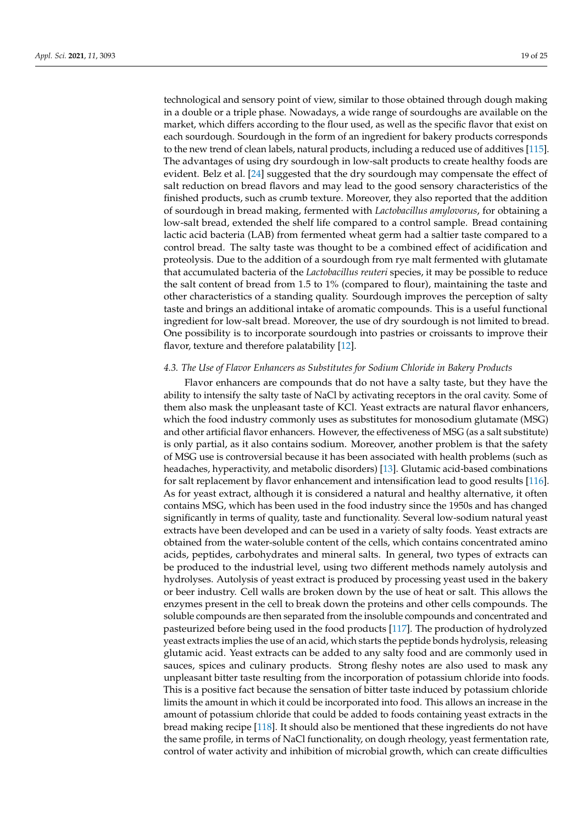technological and sensory point of view, similar to those obtained through dough making in a double or a triple phase. Nowadays, a wide range of sourdoughs are available on the market, which differs according to the flour used, as well as the specific flavor that exist on each sourdough. Sourdough in the form of an ingredient for bakery products corresponds to the new trend of clean labels, natural products, including a reduced use of additives [\[115\]](#page-24-14). The advantages of using dry sourdough in low-salt products to create healthy foods are evident. Belz et al. [\[24\]](#page-21-17) suggested that the dry sourdough may compensate the effect of salt reduction on bread flavors and may lead to the good sensory characteristics of the finished products, such as crumb texture. Moreover, they also reported that the addition of sourdough in bread making, fermented with *Lactobacillus amylovorus*, for obtaining a low-salt bread, extended the shelf life compared to a control sample. Bread containing lactic acid bacteria (LAB) from fermented wheat germ had a saltier taste compared to a control bread. The salty taste was thought to be a combined effect of acidification and proteolysis. Due to the addition of a sourdough from rye malt fermented with glutamate that accumulated bacteria of the *Lactobacillus reuteri* species, it may be possible to reduce the salt content of bread from 1.5 to 1% (compared to flour), maintaining the taste and other characteristics of a standing quality. Sourdough improves the perception of salty taste and brings an additional intake of aromatic compounds. This is a useful functional ingredient for low-salt bread. Moreover, the use of dry sourdough is not limited to bread. One possibility is to incorporate sourdough into pastries or croissants to improve their flavor, texture and therefore palatability [\[12\]](#page-21-0).

## *4.3. The Use of Flavor Enhancers as Substitutes for Sodium Chloride in Bakery Products*

Flavor enhancers are compounds that do not have a salty taste, but they have the ability to intensify the salty taste of NaCl by activating receptors in the oral cavity. Some of them also mask the unpleasant taste of KCl. Yeast extracts are natural flavor enhancers, which the food industry commonly uses as substitutes for monosodium glutamate (MSG) and other artificial flavor enhancers. However, the effectiveness of MSG (as a salt substitute) is only partial, as it also contains sodium. Moreover, another problem is that the safety of MSG use is controversial because it has been associated with health problems (such as headaches, hyperactivity, and metabolic disorders) [\[13\]](#page-21-1). Glutamic acid-based combinations for salt replacement by flavor enhancement and intensification lead to good results [\[116\]](#page-24-15). As for yeast extract, although it is considered a natural and healthy alternative, it often contains MSG, which has been used in the food industry since the 1950s and has changed significantly in terms of quality, taste and functionality. Several low-sodium natural yeast extracts have been developed and can be used in a variety of salty foods. Yeast extracts are obtained from the water-soluble content of the cells, which contains concentrated amino acids, peptides, carbohydrates and mineral salts. In general, two types of extracts can be produced to the industrial level, using two different methods namely autolysis and hydrolyses. Autolysis of yeast extract is produced by processing yeast used in the bakery or beer industry. Cell walls are broken down by the use of heat or salt. This allows the enzymes present in the cell to break down the proteins and other cells compounds. The soluble compounds are then separated from the insoluble compounds and concentrated and pasteurized before being used in the food products [\[117\]](#page-24-16). The production of hydrolyzed yeast extracts implies the use of an acid, which starts the peptide bonds hydrolysis, releasing glutamic acid. Yeast extracts can be added to any salty food and are commonly used in sauces, spices and culinary products. Strong fleshy notes are also used to mask any unpleasant bitter taste resulting from the incorporation of potassium chloride into foods. This is a positive fact because the sensation of bitter taste induced by potassium chloride limits the amount in which it could be incorporated into food. This allows an increase in the amount of potassium chloride that could be added to foods containing yeast extracts in the bread making recipe [\[118\]](#page-24-17). It should also be mentioned that these ingredients do not have the same profile, in terms of NaCl functionality, on dough rheology, yeast fermentation rate, control of water activity and inhibition of microbial growth, which can create difficulties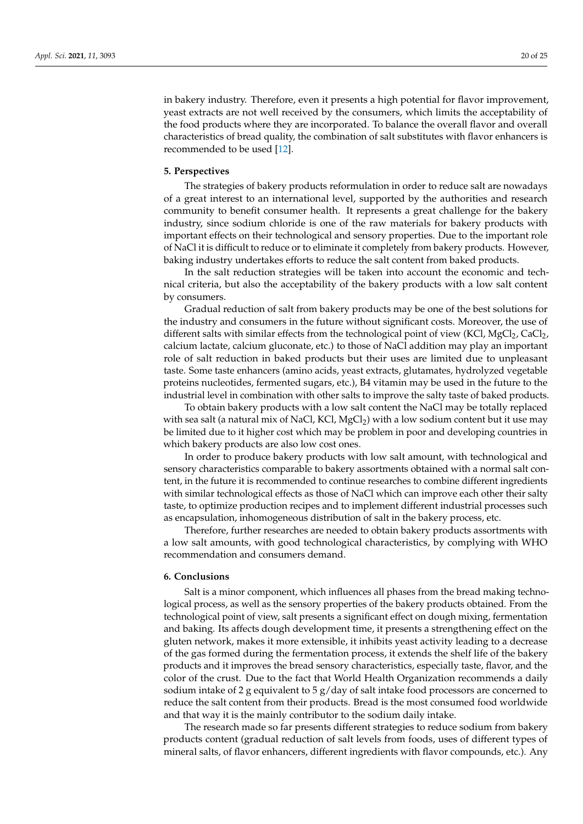in bakery industry. Therefore, even it presents a high potential for flavor improvement, yeast extracts are not well received by the consumers, which limits the acceptability of the food products where they are incorporated. To balance the overall flavor and overall characteristics of bread quality, the combination of salt substitutes with flavor enhancers is recommended to be used [\[12\]](#page-21-0).

### **5. Perspectives**

The strategies of bakery products reformulation in order to reduce salt are nowadays of a great interest to an international level, supported by the authorities and research community to benefit consumer health. It represents a great challenge for the bakery industry, since sodium chloride is one of the raw materials for bakery products with important effects on their technological and sensory properties. Due to the important role of NaCl it is difficult to reduce or to eliminate it completely from bakery products. However, baking industry undertakes efforts to reduce the salt content from baked products.

In the salt reduction strategies will be taken into account the economic and technical criteria, but also the acceptability of the bakery products with a low salt content by consumers.

Gradual reduction of salt from bakery products may be one of the best solutions for the industry and consumers in the future without significant costs. Moreover, the use of different salts with similar effects from the technological point of view (KCl, MgCl<sub>2</sub>, CaCl<sub>2</sub>, calcium lactate, calcium gluconate, etc.) to those of NaCl addition may play an important role of salt reduction in baked products but their uses are limited due to unpleasant taste. Some taste enhancers (amino acids, yeast extracts, glutamates, hydrolyzed vegetable proteins nucleotides, fermented sugars, etc.), B4 vitamin may be used in the future to the industrial level in combination with other salts to improve the salty taste of baked products.

To obtain bakery products with a low salt content the NaCl may be totally replaced with sea salt (a natural mix of NaCl, KCl,  $MgCl<sub>2</sub>$ ) with a low sodium content but it use may be limited due to it higher cost which may be problem in poor and developing countries in which bakery products are also low cost ones.

In order to produce bakery products with low salt amount, with technological and sensory characteristics comparable to bakery assortments obtained with a normal salt content, in the future it is recommended to continue researches to combine different ingredients with similar technological effects as those of NaCl which can improve each other their salty taste, to optimize production recipes and to implement different industrial processes such as encapsulation, inhomogeneous distribution of salt in the bakery process, etc.

Therefore, further researches are needed to obtain bakery products assortments with a low salt amounts, with good technological characteristics, by complying with WHO recommendation and consumers demand.

## **6. Conclusions**

Salt is a minor component, which influences all phases from the bread making technological process, as well as the sensory properties of the bakery products obtained. From the technological point of view, salt presents a significant effect on dough mixing, fermentation and baking. Its affects dough development time, it presents a strengthening effect on the gluten network, makes it more extensible, it inhibits yeast activity leading to a decrease of the gas formed during the fermentation process, it extends the shelf life of the bakery products and it improves the bread sensory characteristics, especially taste, flavor, and the color of the crust. Due to the fact that World Health Organization recommends a daily sodium intake of 2 g equivalent to  $5 g/day$  of salt intake food processors are concerned to reduce the salt content from their products. Bread is the most consumed food worldwide and that way it is the mainly contributor to the sodium daily intake.

The research made so far presents different strategies to reduce sodium from bakery products content (gradual reduction of salt levels from foods, uses of different types of mineral salts, of flavor enhancers, different ingredients with flavor compounds, etc.). Any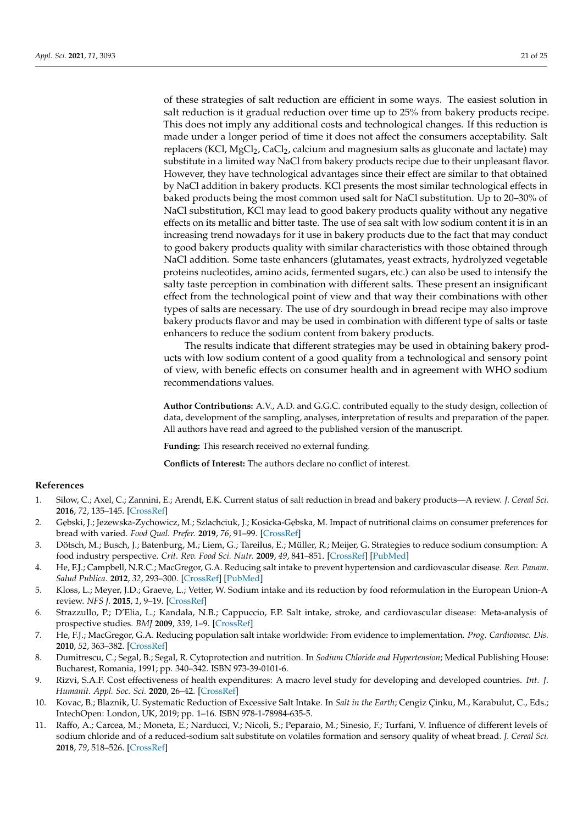of these strategies of salt reduction are efficient in some ways. The easiest solution in salt reduction is it gradual reduction over time up to 25% from bakery products recipe. This does not imply any additional costs and technological changes. If this reduction is made under a longer period of time it does not affect the consumers acceptability. Salt replacers (KCl, MgCl<sub>2</sub>, CaCl<sub>2</sub>, calcium and magnesium salts as gluconate and lactate) may substitute in a limited way NaCl from bakery products recipe due to their unpleasant flavor. However, they have technological advantages since their effect are similar to that obtained by NaCl addition in bakery products. KCl presents the most similar technological effects in baked products being the most common used salt for NaCl substitution. Up to 20–30% of NaCl substitution, KCl may lead to good bakery products quality without any negative effects on its metallic and bitter taste. The use of sea salt with low sodium content it is in an increasing trend nowadays for it use in bakery products due to the fact that may conduct to good bakery products quality with similar characteristics with those obtained through NaCl addition. Some taste enhancers (glutamates, yeast extracts, hydrolyzed vegetable proteins nucleotides, amino acids, fermented sugars, etc.) can also be used to intensify the salty taste perception in combination with different salts. These present an insignificant effect from the technological point of view and that way their combinations with other types of salts are necessary. The use of dry sourdough in bread recipe may also improve bakery products flavor and may be used in combination with different type of salts or taste enhancers to reduce the sodium content from bakery products.

The results indicate that different strategies may be used in obtaining bakery products with low sodium content of a good quality from a technological and sensory point of view, with benefic effects on consumer health and in agreement with WHO sodium recommendations values.

**Author Contributions:** A.V., A.D. and G.G.C. contributed equally to the study design, collection of data, development of the sampling, analyses, interpretation of results and preparation of the paper. All authors have read and agreed to the published version of the manuscript.

**Funding:** This research received no external funding.

**Conflicts of Interest:** The authors declare no conflict of interest.

## **References**

- <span id="page-20-0"></span>1. Silow, C.; Axel, C.; Zannini, E.; Arendt, E.K. Current status of salt reduction in bread and bakery products—A review. *J. Cereal Sci.* **2016**, *72*, 135–145. [\[CrossRef\]](http://doi.org/10.1016/j.jcs.2016.10.010)
- <span id="page-20-1"></span>2. Gebski, J.; Jezewska-Zychowicz, M.; Szlachciuk, J.; Kosicka-Gebska, M. Impact of nutritional claims on consumer preferences for bread with varied. *Food Qual. Prefer.* **2019**, *76*, 91–99. [\[CrossRef\]](http://doi.org/10.1016/j.foodqual.2019.03.012)
- <span id="page-20-2"></span>3. Dötsch, M.; Busch, J.; Batenburg, M.; Liem, G.; Tareilus, E.; Müller, R.; Meijer, G. Strategies to reduce sodium consumption: A food industry perspective. *Crit. Rev. Food Sci. Nutr.* **2009**, *49*, 841–851. [\[CrossRef\]](http://doi.org/10.1080/10408390903044297) [\[PubMed\]](http://www.ncbi.nlm.nih.gov/pubmed/19960392)
- <span id="page-20-3"></span>4. He, F.J.; Campbell, N.R.C.; MacGregor, G.A. Reducing salt intake to prevent hypertension and cardiovascular disease. *Rev. Panam. Salud Publica.* **2012**, *32*, 293–300. [\[CrossRef\]](http://doi.org/10.1590/S1020-49892012001000008) [\[PubMed\]](http://www.ncbi.nlm.nih.gov/pubmed/23299291)
- <span id="page-20-4"></span>5. Kloss, L.; Meyer, J.D.; Graeve, L.; Vetter, W. Sodium intake and its reduction by food reformulation in the European Union-A review. *NFS J.* **2015**, *1*, 9–19. [\[CrossRef\]](http://doi.org/10.1016/j.nfs.2015.03.001)
- <span id="page-20-5"></span>6. Strazzullo, P.; D'Elia, L.; Kandala, N.B.; Cappuccio, F.P. Salt intake, stroke, and cardiovascular disease: Meta-analysis of prospective studies. *BMJ* **2009**, *339*, 1–9. [\[CrossRef\]](http://doi.org/10.1136/bmj.b4567)
- <span id="page-20-6"></span>7. He, F.J.; MacGregor, G.A. Reducing population salt intake worldwide: From evidence to implementation. *Prog. Cardiovasc. Dis.* **2010**, *52*, 363–382. [\[CrossRef\]](http://doi.org/10.1016/j.pcad.2009.12.006)
- <span id="page-20-7"></span>8. Dumitrescu, C.; Segal, B.; Segal, R. Cytoprotection and nutrition. In *Sodium Chloride and Hypertension*; Medical Publishing House: Bucharest, Romania, 1991; pp. 340–342. ISBN 973-39-0101-6.
- <span id="page-20-8"></span>9. Rizvi, S.A.F. Cost effectiveness of health expenditures: A macro level study for developing and developed countries. *Int. J. Humanit. Appl. Soc. Sci.* **2020**, 26–42. [\[CrossRef\]](http://doi.org/10.33642/ijhass.v5n9p3)
- <span id="page-20-9"></span>10. Kovac, B.; Blaznik, U. Systematic Reduction of Excessive Salt Intake. In *Salt in the Earth*; Cengiz Çinku, M., Karabulut, C., Eds.; IntechOpen: London, UK, 2019; pp. 1–16. ISBN 978-1-78984-635-5.
- <span id="page-20-10"></span>11. Raffo, A.; Carcea, M.; Moneta, E.; Narducci, V.; Nicoli, S.; Peparaio, M.; Sinesio, F.; Turfani, V. Influence of different levels of sodium chloride and of a reduced-sodium salt substitute on volatiles formation and sensory quality of wheat bread. *J. Cereal Sci.* **2018**, *79*, 518–526. [\[CrossRef\]](http://doi.org/10.1016/j.jcs.2017.12.013)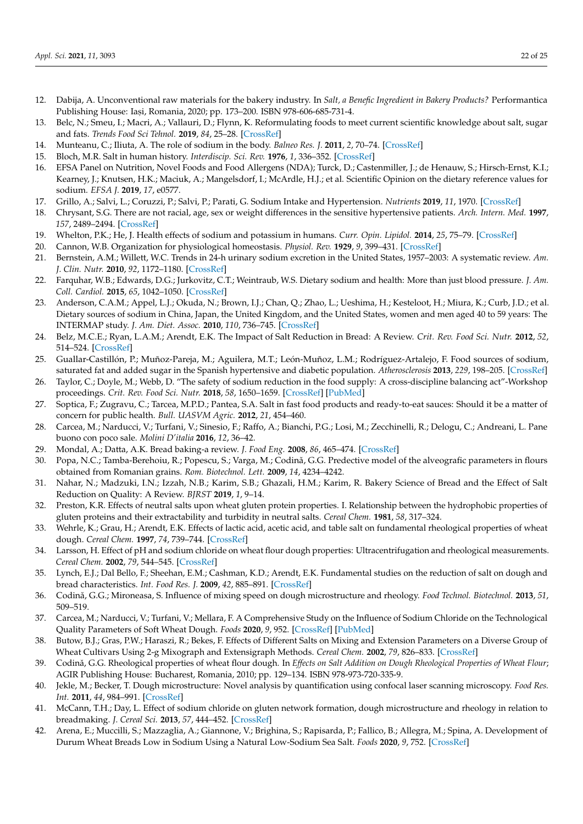- <span id="page-21-0"></span>12. Dabija, A. Unconventional raw materials for the bakery industry. In *Salt, a Benefic Ingredient in Bakery Products?* Performantica Publishing House: Iași, Romania, 2020; pp. 173-200. ISBN 978-606-685-731-4.
- <span id="page-21-1"></span>13. Belc, N.; Smeu, I.; Macri, A.; Vallauri, D.; Flynn, K. Reformulating foods to meet current scientific knowledge about salt, sugar and fats. *Trends Food Sci Tehnol.* **2019**, *84*, 25–28. [\[CrossRef\]](http://doi.org/10.1016/j.tifs.2018.11.002)
- <span id="page-21-2"></span>14. Munteanu, C.; Iliuta, A. The role of sodium in the body. *Balneo Res. J.* **2011**, *2*, 70–74. [\[CrossRef\]](http://doi.org/10.12680/balneo.2011.1015)
- <span id="page-21-3"></span>15. Bloch, M.R. Salt in human history. *Interdiscip. Sci. Rev.* **1976**, *1*, 336–352. [\[CrossRef\]](http://doi.org/10.1179/030801876789768282)
- <span id="page-21-4"></span>16. EFSA Panel on Nutrition, Novel Foods and Food Allergens (NDA); Turck, D.; Castenmiller, J.; de Henauw, S.; Hirsch-Ernst, K.I.; Kearney, J.; Knutsen, H.K.; Maciuk, A.; Mangelsdorf, I.; McArdle, H.J.; et al. Scientific Opinion on the dietary reference values for sodium. *EFSA J.* **2019**, *17*, e0577.
- <span id="page-21-5"></span>17. Grillo, A.; Salvi, L.; Coruzzi, P.; Salvi, P.; Parati, G. Sodium Intake and Hypertension. *Nutrients* **2019**, *11*, 1970. [\[CrossRef\]](http://doi.org/10.3390/nu11091970)
- <span id="page-21-6"></span>18. Chrysant, S.G. There are not racial, age, sex or weight differences in the sensitive hypertensive patients. *Arch. Intern. Med.* **1997**, *157*, 2489–2494. [\[CrossRef\]](http://doi.org/10.1001/archinte.1997.00440420121013)
- <span id="page-21-7"></span>19. Whelton, P.K.; He, J. Health effects of sodium and potassium in humans. *Curr. Opin. Lipidol.* **2014**, *25*, 75–79. [\[CrossRef\]](http://doi.org/10.1097/MOL.0000000000000033)
- <span id="page-21-8"></span>20. Cannon, W.B. Organization for physiological homeostasis. *Physiol. Rev.* **1929**, *9*, 399–431. [\[CrossRef\]](http://doi.org/10.1152/physrev.1929.9.3.399)
- <span id="page-21-9"></span>21. Bernstein, A.M.; Willett, W.C. Trends in 24-h urinary sodium excretion in the United States, 1957–2003: A systematic review. *Am. J. Clin. Nutr.* **2010**, *92*, 1172–1180. [\[CrossRef\]](http://doi.org/10.3945/ajcn.2010.29367)
- <span id="page-21-10"></span>22. Farquhar, W.B.; Edwards, D.G.; Jurkovitz, C.T.; Weintraub, W.S. Dietary sodium and health: More than just blood pressure. *J. Am. Coll. Cardiol.* **2015**, *65*, 1042–1050. [\[CrossRef\]](http://doi.org/10.1016/j.jacc.2014.12.039)
- <span id="page-21-11"></span>23. Anderson, C.A.M.; Appel, L.J.; Okuda, N.; Brown, I.J.; Chan, Q.; Zhao, L.; Ueshima, H.; Kesteloot, H.; Miura, K.; Curb, J.D.; et al. Dietary sources of sodium in China, Japan, the United Kingdom, and the United States, women and men aged 40 to 59 years: The INTERMAP study. *J. Am. Diet. Assoc.* **2010**, *110*, 736–745. [\[CrossRef\]](http://doi.org/10.1016/j.jada.2010.02.007)
- <span id="page-21-17"></span>24. Belz, M.C.E.; Ryan, L.A.M.; Arendt, E.K. The Impact of Salt Reduction in Bread: A Review. *Crit. Rev. Food Sci. Nutr.* **2012**, *52*, 514–524. [\[CrossRef\]](http://doi.org/10.1080/10408398.2010.502265)
- <span id="page-21-12"></span>25. Guallar-Castillón, P.; Muñoz-Pareja, M.; Aguilera, M.T.; León-Muñoz, L.M.; Rodríguez-Artalejo, F. Food sources of sodium, saturated fat and added sugar in the Spanish hypertensive and diabetic population. *Atherosclerosis* **2013**, *229*, 198–205. [\[CrossRef\]](http://doi.org/10.1016/j.atherosclerosis.2013.04.001)
- <span id="page-21-13"></span>26. Taylor, C.; Doyle, M.; Webb, D. "The safety of sodium reduction in the food supply: A cross-discipline balancing act"-Workshop proceedings. *Crit. Rev. Food Sci. Nutr.* **2018**, *58*, 1650–1659. [\[CrossRef\]](http://doi.org/10.1080/10408398.2016.1276431) [\[PubMed\]](http://www.ncbi.nlm.nih.gov/pubmed/28350175)
- <span id="page-21-14"></span>27. Soptica, F.; Zugravu, C.; Tarcea, M.P.D.; Pantea, S.A. Salt in fast food products and ready-to-eat sauces: Should it be a matter of concern for public health. *Bull. UASVM Agric.* **2012**, *21*, 454–460.
- <span id="page-21-15"></span>28. Carcea, M.; Narducci, V.; Turfani, V.; Sinesio, F.; Raffo, A.; Bianchi, P.G.; Losi, M.; Zecchinelli, R.; Delogu, C.; Andreani, L. Pane buono con poco sale. *Molini D'italia* **2016**, *12*, 36–42.
- <span id="page-21-16"></span>29. Mondal, A.; Datta, A.K. Bread baking-a review. *J. Food Eng.* **2008**, *86*, 465–474. [\[CrossRef\]](http://doi.org/10.1016/j.jfoodeng.2007.11.014)
- <span id="page-21-18"></span>30. Popa, N.C.; Tamba-Berehoiu, R.; Popescu, S.; Varga, M.; Codină, G.G. Predective model of the alveografic parameters in flours obtained from Romanian grains. *Rom. Biotechnol. Lett.* **2009**, *14*, 4234–4242.
- <span id="page-21-19"></span>31. Nahar, N.; Madzuki, I.N.; Izzah, N.B.; Karim, S.B.; Ghazali, H.M.; Karim, R. Bakery Science of Bread and the Effect of Salt Reduction on Quality: A Review. *BJRST* **2019**, *1*, 9–14.
- <span id="page-21-20"></span>32. Preston, K.R. Effects of neutral salts upon wheat gluten protein properties. I. Relationship between the hydrophobic properties of gluten proteins and their extractability and turbidity in neutral salts. *Cereal Chem.* **1981**, *58*, 317–324.
- 33. Wehrle, K.; Grau, H.; Arendt, E.K. Effects of lactic acid, acetic acid, and table salt on fundamental rheological properties of wheat dough. *Cereal Chem.* **1997**, *74*, 739–744. [\[CrossRef\]](http://doi.org/10.1094/CCHEM.1997.74.6.739)
- 34. Larsson, H. Effect of pH and sodium chloride on wheat flour dough properties: Ultracentrifugation and rheological measurements. *Cereal Chem.* **2002**, *79*, 544–545. [\[CrossRef\]](http://doi.org/10.1094/CCHEM.2002.79.4.544)
- <span id="page-21-21"></span>35. Lynch, E.J.; Dal Bello, F.; Sheehan, E.M.; Cashman, K.D.; Arendt, E.K. Fundamental studies on the reduction of salt on dough and bread characteristics. *Int. Food Res. J.* **2009**, *42*, 885–891. [\[CrossRef\]](http://doi.org/10.1016/j.foodres.2009.03.014)
- <span id="page-21-22"></span>36. Codină, G.G.; Mironeasa, S. Influence of mixing speed on dough microstructure and rheology. *Food Technol. Biotechnol.* **2013**, *51*, 509–519.
- <span id="page-21-23"></span>37. Carcea, M.; Narducci, V.; Turfani, V.; Mellara, F. A Comprehensive Study on the Influence of Sodium Chloride on the Technological Quality Parameters of Soft Wheat Dough. *Foods* **2020**, *9*, 952. [\[CrossRef\]](http://doi.org/10.3390/foods9070952) [\[PubMed\]](http://www.ncbi.nlm.nih.gov/pubmed/32709125)
- <span id="page-21-24"></span>38. Butow, B.J.; Gras, P.W.; Haraszi, R.; Bekes, F. Effects of Different Salts on Mixing and Extension Parameters on a Diverse Group of Wheat Cultivars Using 2-g Mixograph and Extensigraph Methods. *Cereal Chem.* **2002**, *79*, 826–833. [\[CrossRef\]](http://doi.org/10.1094/CCHEM.2002.79.6.826)
- <span id="page-21-25"></span>39. Codină, G.G. Rheological properties of wheat flour dough. In *Effects on Salt Addition on Dough Rheological Properties of Wheat Flour*; AGIR Publishing House: Bucharest, Romania, 2010; pp. 129–134. ISBN 978-973-720-335-9.
- <span id="page-21-26"></span>40. Jekle, M.; Becker, T. Dough microstructure: Novel analysis by quantification using confocal laser scanning microscopy. *Food Res. Int.* **2011**, *44*, 984–991. [\[CrossRef\]](http://doi.org/10.1016/j.foodres.2011.02.036)
- <span id="page-21-27"></span>41. McCann, T.H.; Day, L. Effect of sodium chloride on gluten network formation, dough microstructure and rheology in relation to breadmaking. *J. Cereal Sci.* **2013**, *57*, 444–452. [\[CrossRef\]](http://doi.org/10.1016/j.jcs.2013.01.011)
- <span id="page-21-28"></span>42. Arena, E.; Muccilli, S.; Mazzaglia, A.; Giannone, V.; Brighina, S.; Rapisarda, P.; Fallico, B.; Allegra, M.; Spina, A. Development of Durum Wheat Breads Low in Sodium Using a Natural Low-Sodium Sea Salt. *Foods* **2020**, *9*, 752. [\[CrossRef\]](http://doi.org/10.3390/foods9060752)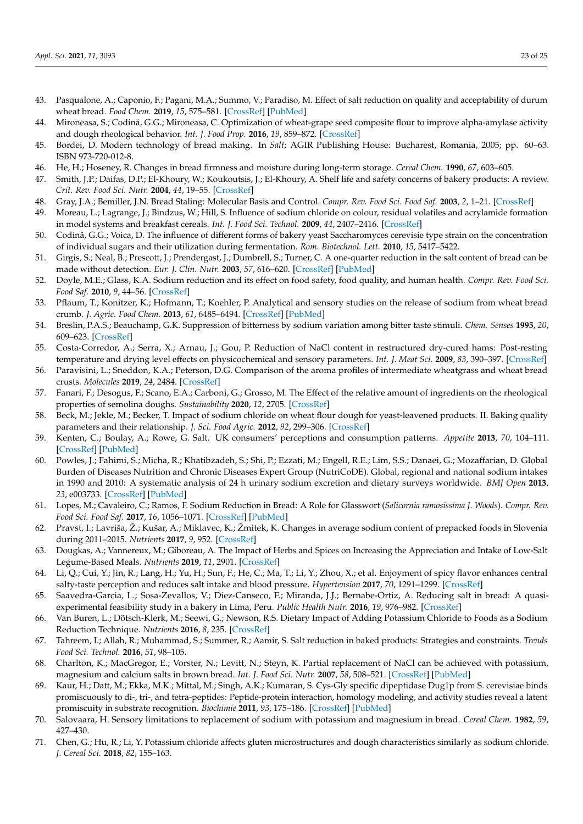- <span id="page-22-0"></span>43. Pasqualone, A.; Caponio, F.; Pagani, M.A.; Summo, V.; Paradiso, M. Effect of salt reduction on quality and acceptability of durum wheat bread. *Food Chem.* **2019**, *15*, 575–581. [\[CrossRef\]](http://doi.org/10.1016/j.foodchem.2019.03.098) [\[PubMed\]](http://www.ncbi.nlm.nih.gov/pubmed/30955651)
- <span id="page-22-1"></span>44. Mironeasa, S.; Codină, G.G.; Mironeasa, C. Optimization of wheat-grape seed composite flour to improve alpha-amylase activity and dough rheological behavior. *Int. J. Food Prop.* **2016**, *19*, 859–872. [\[CrossRef\]](http://doi.org/10.1080/10942912.2015.1045516)
- <span id="page-22-2"></span>45. Bordei, D. Modern technology of bread making. In *Salt*; AGIR Publishing House: Bucharest, Romania, 2005; pp. 60–63. ISBN 973-720-012-8.
- <span id="page-22-3"></span>46. He, H.; Hoseney, R. Changes in bread firmness and moisture during long-term storage. *Cereal Chem.* **1990**, *67*, 603–605.
- <span id="page-22-4"></span>47. Smith, J.P.; Daifas, D.P.; El-Khoury, W.; Koukoutsis, J.; El-Khoury, A. Shelf life and safety concerns of bakery products: A review. *Crit. Rev. Food Sci. Nutr.* **2004**, *44*, 19–55. [\[CrossRef\]](http://doi.org/10.1080/10408690490263774)
- <span id="page-22-5"></span>48. Gray, J.A.; Bemiller, J.N. Bread Staling: Molecular Basis and Control. *Compr. Rev. Food Sci. Food Saf.* **2003**, *2*, 1–21. [\[CrossRef\]](http://doi.org/10.1111/j.1541-4337.2003.tb00011.x)
- <span id="page-22-6"></span>49. Moreau, L.; Lagrange, J.; Bindzus, W.; Hill, S. Influence of sodium chloride on colour, residual volatiles and acrylamide formation in model systems and breakfast cereals. *Int. J. Food Sci. Technol.* **2009**, *44*, 2407–2416. [\[CrossRef\]](http://doi.org/10.1111/j.1365-2621.2009.01922.x)
- <span id="page-22-7"></span>50. Codină, G.G.; Voica, D. The influence of different forms of bakery yeast Saccharomyces cerevisie type strain on the concentration of individual sugars and their utilization during fermentation. *Rom. Biotechnol. Lett.* **2010**, *15*, 5417–5422.
- <span id="page-22-8"></span>51. Girgis, S.; Neal, B.; Prescott, J.; Prendergast, J.; Dumbrell, S.; Turner, C. A one-quarter reduction in the salt content of bread can be made without detection. *Eur. J. Clin. Nutr.* **2003**, *57*, 616–620. [\[CrossRef\]](http://doi.org/10.1038/sj.ejcn.1601583) [\[PubMed\]](http://www.ncbi.nlm.nih.gov/pubmed/12700625)
- <span id="page-22-9"></span>52. Doyle, M.E.; Glass, K.A. Sodium reduction and its effect on food safety, food quality, and human health. *Compr. Rev. Food Sci. Food Saf.* **2010**, *9*, 44–56. [\[CrossRef\]](http://doi.org/10.1111/j.1541-4337.2009.00096.x)
- <span id="page-22-10"></span>53. Pflaum, T.; Konitzer, K.; Hofmann, T.; Koehler, P. Analytical and sensory studies on the release of sodium from wheat bread crumb. *J. Agric. Food Chem.* **2013**, *61*, 6485–6494. [\[CrossRef\]](http://doi.org/10.1021/jf4012906) [\[PubMed\]](http://www.ncbi.nlm.nih.gov/pubmed/23799642)
- <span id="page-22-11"></span>54. Breslin, P.A.S.; Beauchamp, G.K. Suppression of bitterness by sodium variation among bitter taste stimuli. *Chem. Senses* **1995**, *20*, 609–623. [\[CrossRef\]](http://doi.org/10.1093/chemse/20.6.609)
- <span id="page-22-12"></span>55. Costa-Corredor, A.; Serra, X.; Arnau, J.; Gou, P. Reduction of NaCl content in restructured dry-cured hams: Post-resting temperature and drying level effects on physicochemical and sensory parameters. *Int. J. Meat Sci.* **2009**, *83*, 390–397. [\[CrossRef\]](http://doi.org/10.1016/j.meatsci.2009.06.011)
- <span id="page-22-13"></span>56. Paravisini, L.; Sneddon, K.A.; Peterson, D.G. Comparison of the aroma profiles of intermediate wheatgrass and wheat bread crusts. *Molecules* **2019**, *24*, 2484. [\[CrossRef\]](http://doi.org/10.3390/molecules24132484)
- <span id="page-22-14"></span>57. Fanari, F.; Desogus, F.; Scano, E.A.; Carboni, G.; Grosso, M. The Effect of the relative amount of ingredients on the rheological properties of semolina doughs. *Sustainability* **2020**, *12*, 2705. [\[CrossRef\]](http://doi.org/10.3390/su12072705)
- <span id="page-22-15"></span>58. Beck, M.; Jekle, M.; Becker, T. Impact of sodium chloride on wheat flour dough for yeast-leavened products. II. Baking quality parameters and their relationship. *J. Sci. Food Agric.* **2012**, *92*, 299–306. [\[CrossRef\]](http://doi.org/10.1002/jsfa.4575)
- <span id="page-22-16"></span>59. Kenten, C.; Boulay, A.; Rowe, G. Salt. UK consumers' perceptions and consumption patterns. *Appetite* **2013**, *70*, 104–111. [\[CrossRef\]](http://doi.org/10.1016/j.appet.2013.06.095) [\[PubMed\]](http://www.ncbi.nlm.nih.gov/pubmed/23850983)
- <span id="page-22-17"></span>60. Powles, J.; Fahimi, S.; Micha, R.; Khatibzadeh, S.; Shi, P.; Ezzati, M.; Engell, R.E.; Lim, S.S.; Danaei, G.; Mozaffarian, D. Global Burden of Diseases Nutrition and Chronic Diseases Expert Group (NutriCoDE). Global, regional and national sodium intakes in 1990 and 2010: A systematic analysis of 24 h urinary sodium excretion and dietary surveys worldwide. *BMJ Open* **2013**, *23*, e003733. [\[CrossRef\]](http://doi.org/10.1136/bmjopen-2013-003733) [\[PubMed\]](http://www.ncbi.nlm.nih.gov/pubmed/24366578)
- <span id="page-22-18"></span>61. Lopes, M.; Cavaleiro, C.; Ramos, F. Sodium Reduction in Bread: A Role for Glasswort (*Salicornia ramosissima J. Woods*). *Compr. Rev. Food Sci. Food Saf.* **2017**, *16*, 1056–1071. [\[CrossRef\]](http://doi.org/10.1111/1541-4337.12277) [\[PubMed\]](http://www.ncbi.nlm.nih.gov/pubmed/33371619)
- <span id="page-22-19"></span>62. Pravst, I.; Lavriša, Ž.; Kušar, A.; Miklavec, K.; Žmitek, K. Changes in average sodium content of prepacked foods in Slovenia during 2011–2015. *Nutrients* **2017**, *9*, 952. [\[CrossRef\]](http://doi.org/10.3390/nu9090952)
- <span id="page-22-20"></span>63. Dougkas, A.; Vannereux, M.; Giboreau, A. The Impact of Herbs and Spices on Increasing the Appreciation and Intake of Low-Salt Legume-Based Meals. *Nutrients* **2019**, *11*, 2901. [\[CrossRef\]](http://doi.org/10.3390/nu11122901)
- <span id="page-22-21"></span>64. Li, Q.; Cui, Y.; Jin, R.; Lang, H.; Yu, H.; Sun, F.; He, C.; Ma, T.; Li, Y.; Zhou, X.; et al. Enjoyment of spicy flavor enhances central salty-taste perception and reduces salt intake and blood pressure. *Hypertension* **2017**, *70*, 1291–1299. [\[CrossRef\]](http://doi.org/10.1161/HYPERTENSIONAHA.117.09950)
- <span id="page-22-22"></span>65. Saavedra-Garcia, L.; Sosa-Zevallos, V.; Diez-Canseco, F.; Miranda, J.J.; Bernabe-Ortiz, A. Reducing salt in bread: A quasiexperimental feasibility study in a bakery in Lima, Peru. *Public Health Nutr.* **2016**, *19*, 976–982. [\[CrossRef\]](http://doi.org/10.1017/S1368980015001597)
- <span id="page-22-23"></span>66. Van Buren, L.; Dötsch-Klerk, M.; Seewi, G.; Newson, R.S. Dietary Impact of Adding Potassium Chloride to Foods as a Sodium Reduction Technique. *Nutrients* **2016**, *8*, 235. [\[CrossRef\]](http://doi.org/10.3390/nu8040235)
- <span id="page-22-24"></span>67. Tahreem, I.; Allah, R.; Muhammad, S.; Summer, R.; Aamir, S. Salt reduction in baked products: Strategies and constraints. *Trends Food Sci. Technol.* **2016**, *51*, 98–105.
- <span id="page-22-25"></span>68. Charlton, K.; MacGregor, E.; Vorster, N.; Levitt, N.; Steyn, K. Partial replacement of NaCl can be achieved with potassium, magnesium and calcium salts in brown bread. *Int. J. Food Sci. Nutr.* **2007**, *58*, 508–521. [\[CrossRef\]](http://doi.org/10.1080/09637480701331148) [\[PubMed\]](http://www.ncbi.nlm.nih.gov/pubmed/17852502)
- <span id="page-22-26"></span>69. Kaur, H.; Datt, M.; Ekka, M.K.; Mittal, M.; Singh, A.K.; Kumaran, S. Cys-Gly specific dipeptidase Dug1p from S. cerevisiae binds promiscuously to di-, tri-, and tetra-peptides: Peptide-protein interaction, homology modeling, and activity studies reveal a latent promiscuity in substrate recognition. *Biochimie* **2011**, *93*, 175–186. [\[CrossRef\]](http://doi.org/10.1016/j.biochi.2010.09.008) [\[PubMed\]](http://www.ncbi.nlm.nih.gov/pubmed/20868722)
- <span id="page-22-27"></span>70. Salovaara, H. Sensory limitations to replacement of sodium with potassium and magnesium in bread. *Cereal Chem.* **1982**, *59*, 427–430.
- <span id="page-22-28"></span>71. Chen, G.; Hu, R.; Li, Y. Potassium chloride affects gluten microstructures and dough characteristics similarly as sodium chloride. *J. Cereal Sci.* **2018**, *82*, 155–163.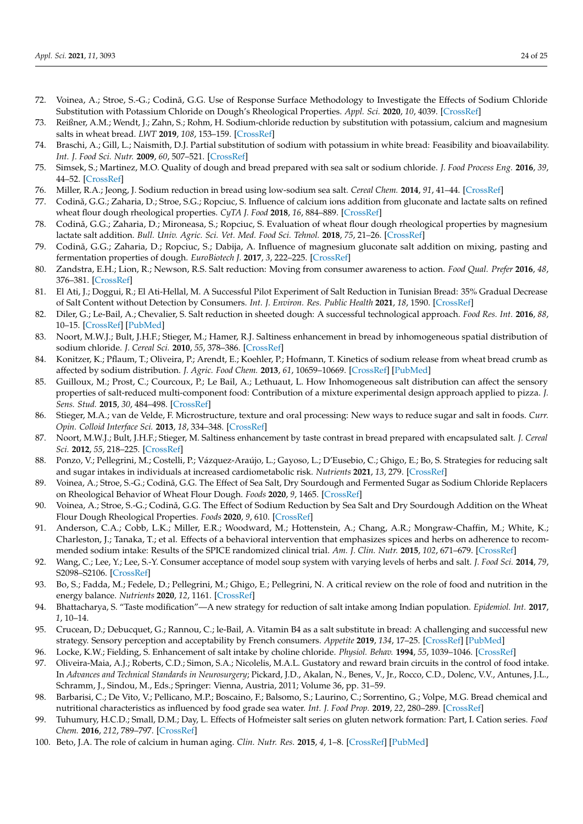- 72. Voinea, A.; Stroe, S.-G.; Codină, G.G. Use of Response Surface Methodology to Investigate the Effects of Sodium Chloride Substitution with Potassium Chloride on Dough's Rheological Properties. *Appl. Sci.* **2020**, *10*, 4039. [\[CrossRef\]](http://doi.org/10.3390/app10114039)
- <span id="page-23-0"></span>73. Reißner, A.M.; Wendt, J.; Zahn, S.; Rohm, H. Sodium-chloride reduction by substitution with potassium, calcium and magnesium salts in wheat bread. *LWT* **2019**, *108*, 153–159. [\[CrossRef\]](http://doi.org/10.1016/j.lwt.2019.03.069)
- <span id="page-23-1"></span>74. Braschi, A.; Gill, L.; Naismith, D.J. Partial substitution of sodium with potassium in white bread: Feasibility and bioavailability. *Int. J. Food Sci. Nutr.* **2009**, *60*, 507–521. [\[CrossRef\]](http://doi.org/10.1080/09637480701782118)
- <span id="page-23-2"></span>75. Simsek, S.; Martinez, M.O. Quality of dough and bread prepared with sea salt or sodium chloride. *J. Food Process Eng.* **2016**, *39*, 44–52. [\[CrossRef\]](http://doi.org/10.1111/jfpe.12197)
- <span id="page-23-3"></span>76. Miller, R.A.; Jeong, J. Sodium reduction in bread using low-sodium sea salt. *Cereal Chem.* **2014**, *91*, 41–44. [\[CrossRef\]](http://doi.org/10.1094/CCHEM-05-13-0089-R)
- <span id="page-23-4"></span>77. Codină, G.G.; Zaharia, D.; Stroe, S.G.; Ropciuc, S. Influence of calcium ions addition from gluconate and lactate salts on refined wheat flour dough rheological properties. *CyTA J. Food* **2018**, *16*, 884–889. [\[CrossRef\]](http://doi.org/10.1080/19476337.2018.1498129)
- <span id="page-23-5"></span>78. Codină, G.G.; Zaharia, D.; Mironeasa, S.; Ropciuc, S. Evaluation of wheat flour dough rheological properties by magnesium lactate salt addition. *Bull. Univ. Agric. Sci. Vet. Med. Food Sci. Tehnol.* **2018**, *75*, 21–26. [\[CrossRef\]](http://doi.org/10.15835/buasvmcn-fst:0019)
- <span id="page-23-6"></span>79. Codină, G.G.; Zaharia, D.; Ropciuc, S.; Dabija, A. Influence of magnesium gluconate salt addition on mixing, pasting and fermentation properties of dough. *EuroBiotech J.* **2017**, *3*, 222–225. [\[CrossRef\]](http://doi.org/10.24190/ISSN2564-615X/2017/03.04)
- <span id="page-23-7"></span>80. Zandstra, E.H.; Lion, R.; Newson, R.S. Salt reduction: Moving from consumer awareness to action. *Food Qual. Prefer* **2016**, *48*, 376–381. [\[CrossRef\]](http://doi.org/10.1016/j.foodqual.2015.03.005)
- 81. El Ati, J.; Doggui, R.; El Ati-Hellal, M. A Successful Pilot Experiment of Salt Reduction in Tunisian Bread: 35% Gradual Decrease of Salt Content without Detection by Consumers. *Int. J. Environ. Res. Public Health* **2021**, *18*, 1590. [\[CrossRef\]](http://doi.org/10.3390/ijerph18041590)
- <span id="page-23-8"></span>82. Diler, G.; Le-Bail, A.; Chevalier, S. Salt reduction in sheeted dough: A successful technological approach. *Food Res. Int.* **2016**, *88*, 10–15. [\[CrossRef\]](http://doi.org/10.1016/j.foodres.2016.03.013) [\[PubMed\]](http://www.ncbi.nlm.nih.gov/pubmed/28847388)
- <span id="page-23-9"></span>83. Noort, M.W.J.; Bult, J.H.F.; Stieger, M.; Hamer, R.J. Saltiness enhancement in bread by inhomogeneous spatial distribution of sodium chloride. *J. Cereal Sci.* **2010**, *55*, 378–386. [\[CrossRef\]](http://doi.org/10.1016/j.jcs.2010.06.018)
- 84. Konitzer, K.; Pflaum, T.; Oliveira, P.; Arendt, E.; Koehler, P.; Hofmann, T. Kinetics of sodium release from wheat bread crumb as affected by sodium distribution. *J. Agric. Food Chem.* **2013**, *61*, 10659–10669. [\[CrossRef\]](http://doi.org/10.1021/jf404458v) [\[PubMed\]](http://www.ncbi.nlm.nih.gov/pubmed/24134823)
- 85. Guilloux, M.; Prost, C.; Courcoux, P.; Le Bail, A.; Lethuaut, L. How Inhomogeneous salt distribution can affect the sensory properties of salt-reduced multi-component food: Contribution of a mixture experimental design approach applied to pizza. *J. Sens. Stud.* **2015**, *30*, 484–498. [\[CrossRef\]](http://doi.org/10.1111/joss.12182)
- <span id="page-23-10"></span>86. Stieger, M.A.; van de Velde, F. Microstructure, texture and oral processing: New ways to reduce sugar and salt in foods. *Curr. Opin. Colloid Interface Sci.* **2013**, *18*, 334–348. [\[CrossRef\]](http://doi.org/10.1016/j.cocis.2013.04.007)
- <span id="page-23-11"></span>87. Noort, M.W.J.; Bult, J.H.F.; Stieger, M. Saltiness enhancement by taste contrast in bread prepared with encapsulated salt. *J. Cereal Sci.* **2012**, *55*, 218–225. [\[CrossRef\]](http://doi.org/10.1016/j.jcs.2011.11.012)
- <span id="page-23-12"></span>88. Ponzo, V.; Pellegrini, M.; Costelli, P.; Vázquez-Araújo, L.; Gayoso, L.; D'Eusebio, C.; Ghigo, E.; Bo, S. Strategies for reducing salt and sugar intakes in individuals at increased cardiometabolic risk. *Nutrients* **2021**, *13*, 279. [\[CrossRef\]](http://doi.org/10.3390/nu13010279)
- <span id="page-23-13"></span>89. Voinea, A.; Stroe, S.-G.; Codină, G.G. The Effect of Sea Salt, Dry Sourdough and Fermented Sugar as Sodium Chloride Replacers on Rheological Behavior of Wheat Flour Dough. *Foods* **2020**, *9*, 1465. [\[CrossRef\]](http://doi.org/10.3390/foods9101465)
- <span id="page-23-14"></span>90. Voinea, A.; Stroe, S.-G.; Codină, G.G. The Effect of Sodium Reduction by Sea Salt and Dry Sourdough Addition on the Wheat Flour Dough Rheological Properties. *Foods* **2020**, *9*, 610. [\[CrossRef\]](http://doi.org/10.3390/foods9050610)
- <span id="page-23-15"></span>91. Anderson, C.A.; Cobb, L.K.; Miller, E.R.; Woodward, M.; Hottenstein, A.; Chang, A.R.; Mongraw-Chaffin, M.; White, K.; Charleston, J.; Tanaka, T.; et al. Effects of a behavioral intervention that emphasizes spices and herbs on adherence to recommended sodium intake: Results of the SPICE randomized clinical trial. *Am. J. Clin. Nutr.* **2015**, *102*, 671–679. [\[CrossRef\]](http://doi.org/10.3945/ajcn.114.100750)
- 92. Wang, C.; Lee, Y.; Lee, S.-Y. Consumer acceptance of model soup system with varying levels of herbs and salt. *J. Food Sci.* **2014**, *79*, S2098–S2106. [\[CrossRef\]](http://doi.org/10.1111/1750-3841.12637)
- 93. Bo, S.; Fadda, M.; Fedele, D.; Pellegrini, M.; Ghigo, E.; Pellegrini, N. A critical review on the role of food and nutrition in the energy balance. *Nutrients* **2020**, *12*, 1161. [\[CrossRef\]](http://doi.org/10.3390/nu12041161)
- <span id="page-23-16"></span>94. Bhattacharya, S. "Taste modification"—A new strategy for reduction of salt intake among Indian population. *Epidemiol. Int.* **2017**, *1*, 10–14.
- <span id="page-23-17"></span>95. Crucean, D.; Debucquet, G.; Rannou, C.; le-Bail, A. Vitamin B4 as a salt substitute in bread: A challenging and successful new strategy. Sensory perception and acceptability by French consumers. *Appetite* **2019**, *134*, 17–25. [\[CrossRef\]](http://doi.org/10.1016/j.appet.2018.12.020) [\[PubMed\]](http://www.ncbi.nlm.nih.gov/pubmed/30576725)
- <span id="page-23-18"></span>96. Locke, K.W.; Fielding, S. Enhancement of salt intake by choline chloride. *Physiol. Behav.* **1994**, *55*, 1039–1046. [\[CrossRef\]](http://doi.org/10.1016/0031-9384(94)90385-9)
- <span id="page-23-19"></span>97. Oliveira-Maia, A.J.; Roberts, C.D.; Simon, S.A.; Nicolelis, M.A.L. Gustatory and reward brain circuits in the control of food intake. In *Advances and Technical Standards in Neurosurgery*; Pickard, J.D., Akalan, N., Benes, V., Jr., Rocco, C.D., Dolenc, V.V., Antunes, J.L., Schramm, J., Sindou, M., Eds.; Springer: Vienna, Austria, 2011; Volume 36, pp. 31–59.
- <span id="page-23-20"></span>98. Barbarisi, C.; De Vito, V.; Pellicano, M.P.; Boscaino, F.; Balsomo, S.; Laurino, C.; Sorrentino, G.; Volpe, M.G. Bread chemical and nutritional characteristics as influenced by food grade sea water. *Int. J. Food Prop.* **2019**, *22*, 280–289. [\[CrossRef\]](http://doi.org/10.1080/10942912.2019.1579837)
- <span id="page-23-21"></span>99. Tuhumury, H.C.D.; Small, D.M.; Day, L. Effects of Hofmeister salt series on gluten network formation: Part, I. Cation series. *Food Chem.* **2016**, *212*, 789–797. [\[CrossRef\]](http://doi.org/10.1016/j.foodchem.2016.05.182)
- <span id="page-23-22"></span>100. Beto, J.A. The role of calcium in human aging. *Clin. Nutr. Res.* **2015**, *4*, 1–8. [\[CrossRef\]](http://doi.org/10.7762/cnr.2015.4.1.1) [\[PubMed\]](http://www.ncbi.nlm.nih.gov/pubmed/25713787)